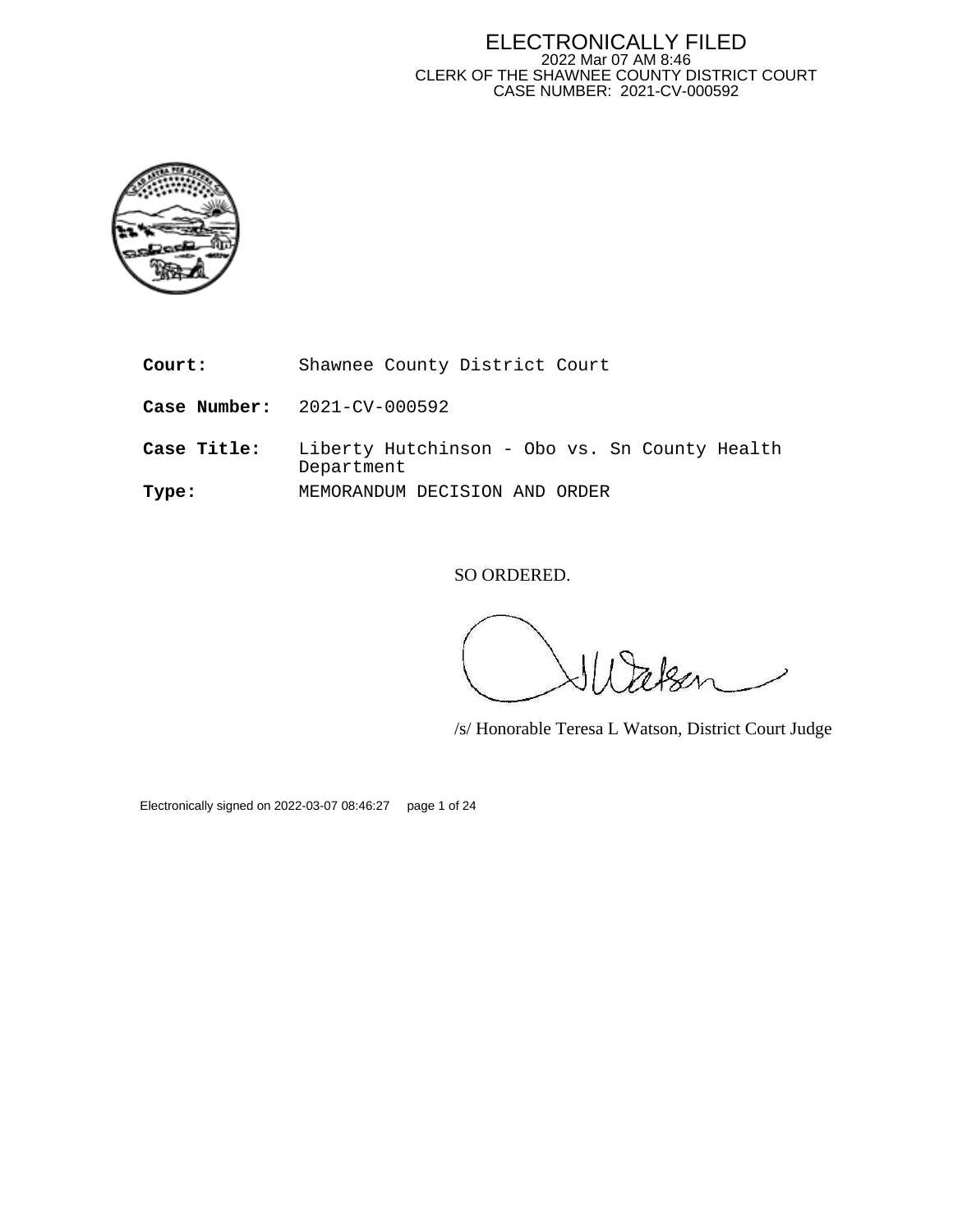#### ELECTRONICALLY FILED 2022 Mar 07 AM 8:46 CLERK OF THE SHAWNEE COUNTY DISTRICT COURT CASE NUMBER: 2021-CV-000592



**Court:** Shawnee County District Court

**Case Number:** 2021-CV-000592

**Case Title:** Liberty Hutchinson - Obo vs. Sn County Health Department **Type:** MEMORANDUM DECISION AND ORDER

SO ORDERED.

/s/ Honorable Teresa L Watson, District Court Judge

Electronically signed on 2022-03-07 08:46:27 page 1 of 24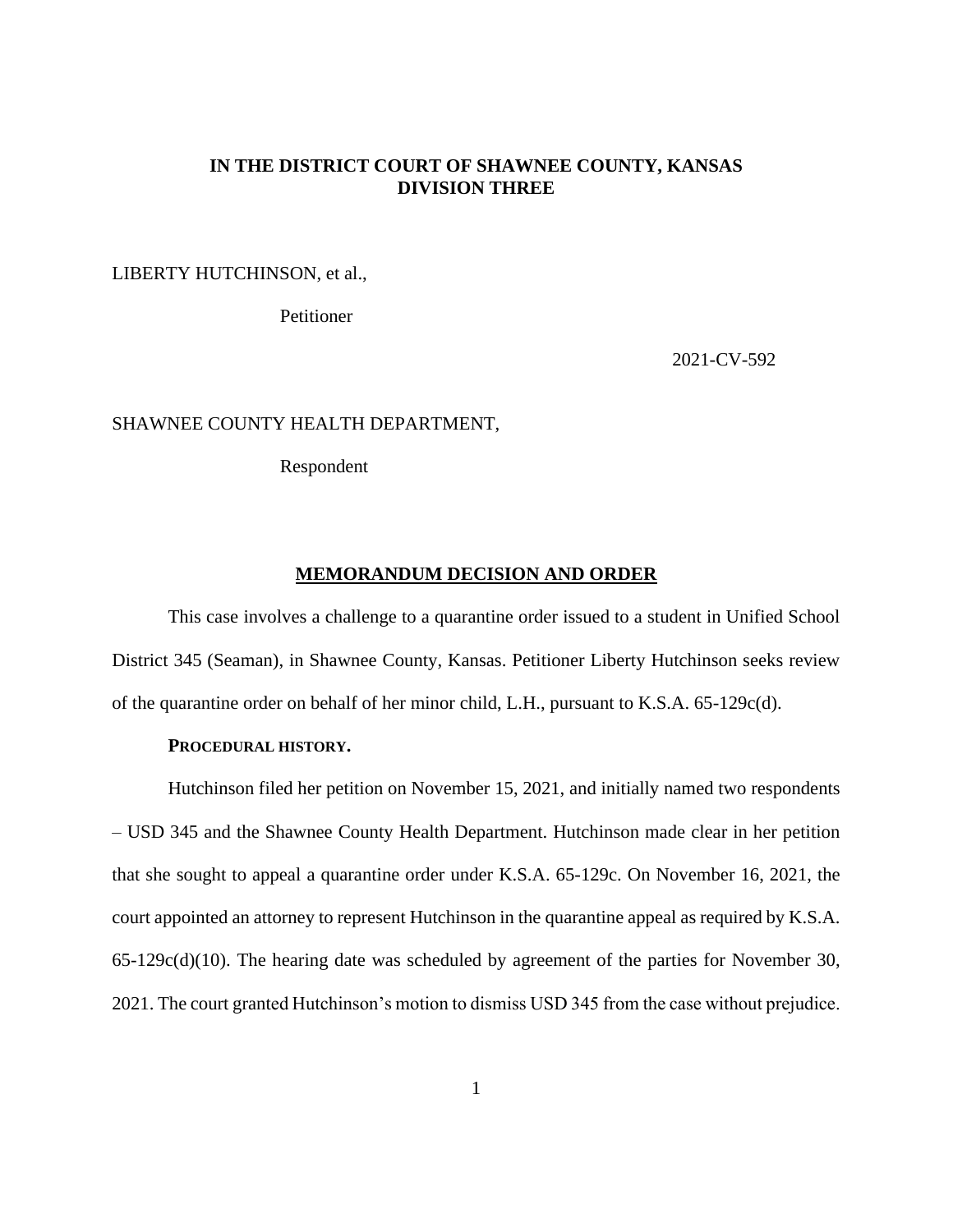# **IN THE DISTRICT COURT OF SHAWNEE COUNTY, KANSAS DIVISION THREE**

LIBERTY HUTCHINSON, et al.,

Petitioner

2021-CV-592

### SHAWNEE COUNTY HEALTH DEPARTMENT,

Respondent

### **MEMORANDUM DECISION AND ORDER**

This case involves a challenge to a quarantine order issued to a student in Unified School District 345 (Seaman), in Shawnee County, Kansas. Petitioner Liberty Hutchinson seeks review of the quarantine order on behalf of her minor child, L.H., pursuant to K.S.A. 65-129c(d).

# **PROCEDURAL HISTORY.**

Hutchinson filed her petition on November 15, 2021, and initially named two respondents – USD 345 and the Shawnee County Health Department. Hutchinson made clear in her petition that she sought to appeal a quarantine order under K.S.A. 65-129c. On November 16, 2021, the court appointed an attorney to represent Hutchinson in the quarantine appeal as required by K.S.A. 65-129c(d)(10). The hearing date was scheduled by agreement of the parties for November 30, 2021. The court granted Hutchinson's motion to dismiss USD 345 from the case without prejudice.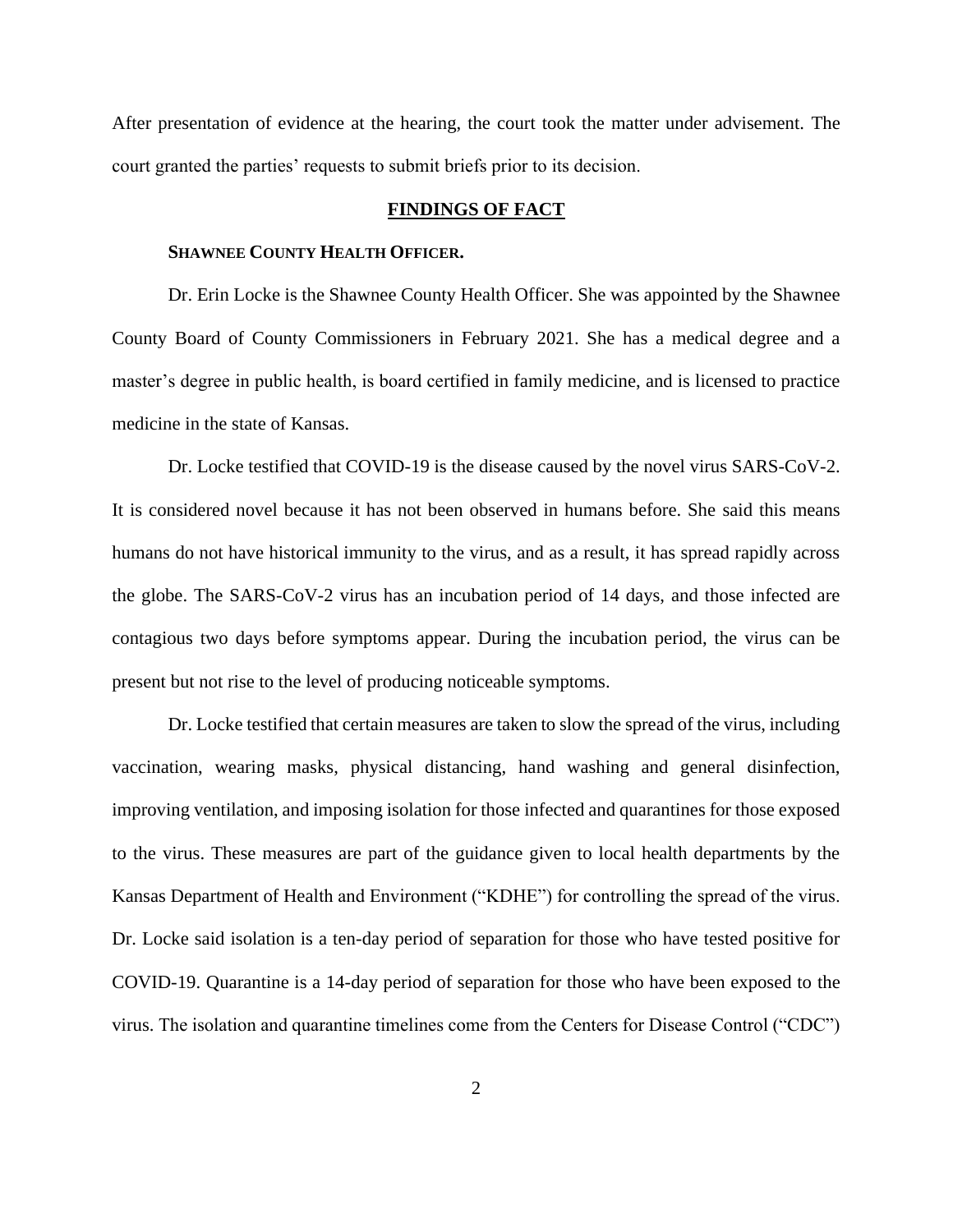After presentation of evidence at the hearing, the court took the matter under advisement. The court granted the parties' requests to submit briefs prior to its decision.

#### **FINDINGS OF FACT**

## **SHAWNEE COUNTY HEALTH OFFICER.**

Dr. Erin Locke is the Shawnee County Health Officer. She was appointed by the Shawnee County Board of County Commissioners in February 2021. She has a medical degree and a master's degree in public health, is board certified in family medicine, and is licensed to practice medicine in the state of Kansas.

Dr. Locke testified that COVID-19 is the disease caused by the novel virus SARS-CoV-2. It is considered novel because it has not been observed in humans before. She said this means humans do not have historical immunity to the virus, and as a result, it has spread rapidly across the globe. The SARS-CoV-2 virus has an incubation period of 14 days, and those infected are contagious two days before symptoms appear. During the incubation period, the virus can be present but not rise to the level of producing noticeable symptoms.

Dr. Locke testified that certain measures are taken to slow the spread of the virus, including vaccination, wearing masks, physical distancing, hand washing and general disinfection, improving ventilation, and imposing isolation for those infected and quarantines for those exposed to the virus. These measures are part of the guidance given to local health departments by the Kansas Department of Health and Environment ("KDHE") for controlling the spread of the virus. Dr. Locke said isolation is a ten-day period of separation for those who have tested positive for COVID-19. Quarantine is a 14-day period of separation for those who have been exposed to the virus. The isolation and quarantine timelines come from the Centers for Disease Control ("CDC")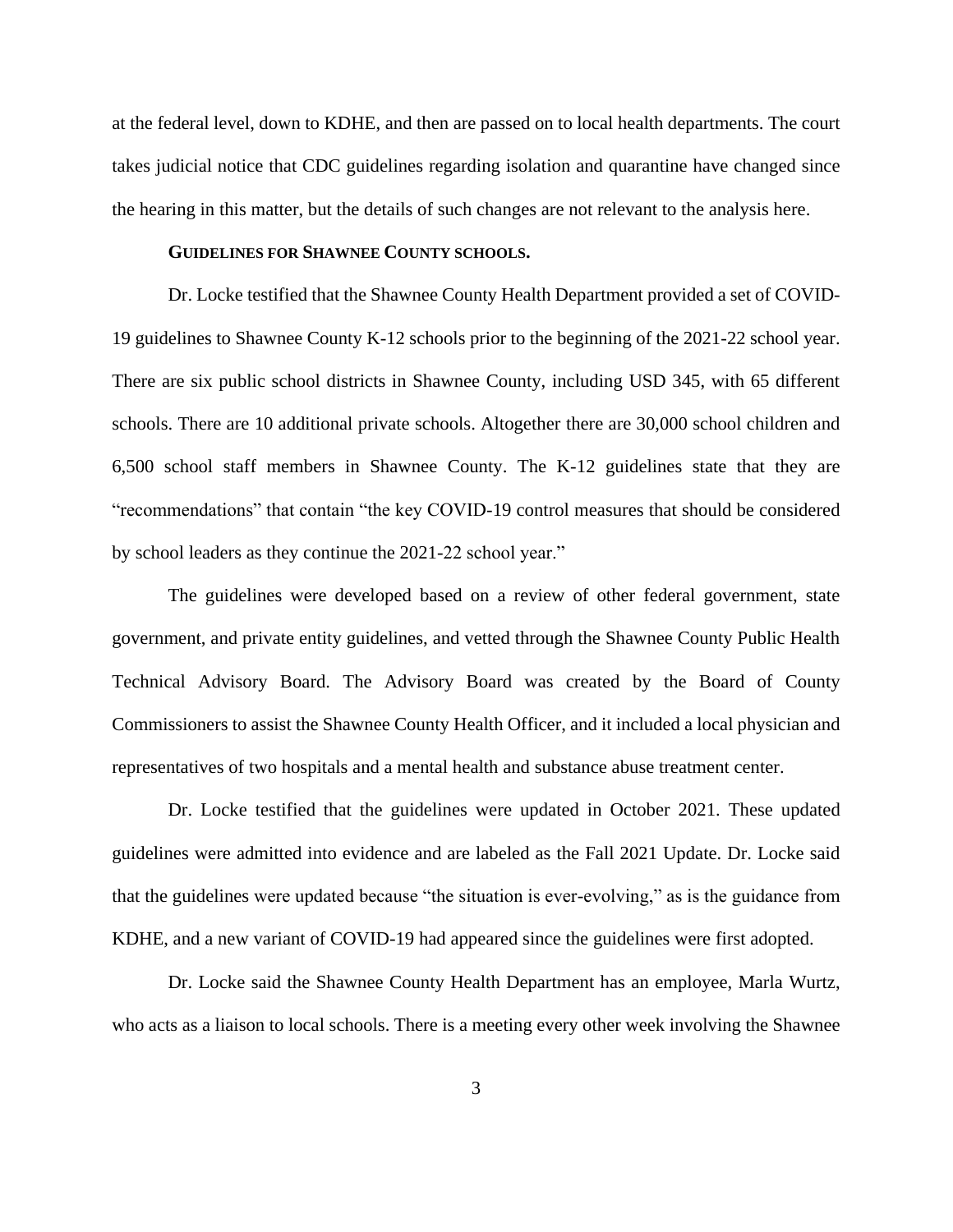at the federal level, down to KDHE, and then are passed on to local health departments. The court takes judicial notice that CDC guidelines regarding isolation and quarantine have changed since the hearing in this matter, but the details of such changes are not relevant to the analysis here.

### **GUIDELINES FOR SHAWNEE COUNTY SCHOOLS.**

Dr. Locke testified that the Shawnee County Health Department provided a set of COVID-19 guidelines to Shawnee County K-12 schools prior to the beginning of the 2021-22 school year. There are six public school districts in Shawnee County, including USD 345, with 65 different schools. There are 10 additional private schools. Altogether there are 30,000 school children and 6,500 school staff members in Shawnee County. The K-12 guidelines state that they are "recommendations" that contain "the key COVID-19 control measures that should be considered by school leaders as they continue the 2021-22 school year."

The guidelines were developed based on a review of other federal government, state government, and private entity guidelines, and vetted through the Shawnee County Public Health Technical Advisory Board. The Advisory Board was created by the Board of County Commissioners to assist the Shawnee County Health Officer, and it included a local physician and representatives of two hospitals and a mental health and substance abuse treatment center.

Dr. Locke testified that the guidelines were updated in October 2021. These updated guidelines were admitted into evidence and are labeled as the Fall 2021 Update. Dr. Locke said that the guidelines were updated because "the situation is ever-evolving," as is the guidance from KDHE, and a new variant of COVID-19 had appeared since the guidelines were first adopted.

Dr. Locke said the Shawnee County Health Department has an employee, Marla Wurtz, who acts as a liaison to local schools. There is a meeting every other week involving the Shawnee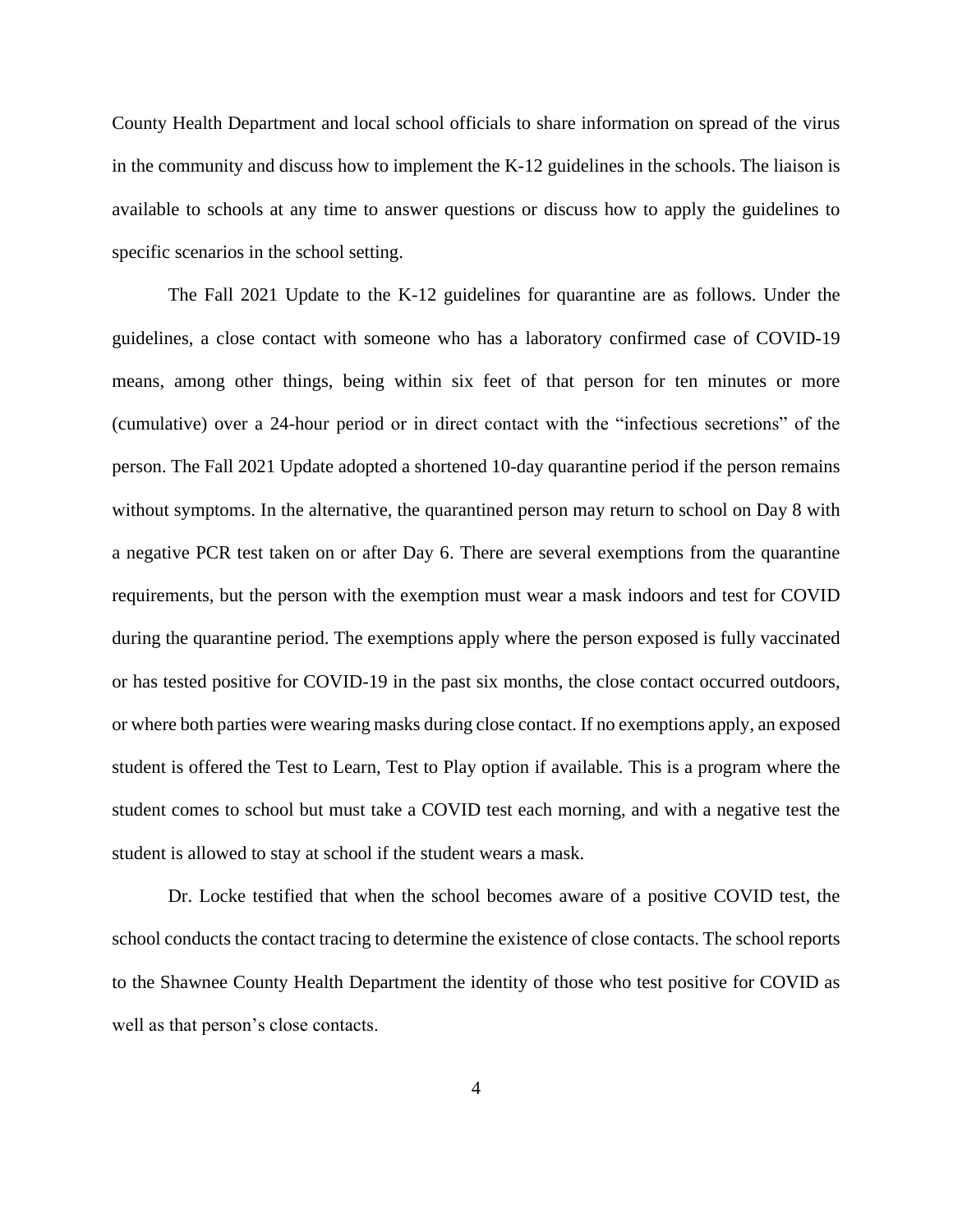County Health Department and local school officials to share information on spread of the virus in the community and discuss how to implement the K-12 guidelines in the schools. The liaison is available to schools at any time to answer questions or discuss how to apply the guidelines to specific scenarios in the school setting.

The Fall 2021 Update to the K-12 guidelines for quarantine are as follows. Under the guidelines, a close contact with someone who has a laboratory confirmed case of COVID-19 means, among other things, being within six feet of that person for ten minutes or more (cumulative) over a 24-hour period or in direct contact with the "infectious secretions" of the person. The Fall 2021 Update adopted a shortened 10-day quarantine period if the person remains without symptoms. In the alternative, the quarantined person may return to school on Day 8 with a negative PCR test taken on or after Day 6. There are several exemptions from the quarantine requirements, but the person with the exemption must wear a mask indoors and test for COVID during the quarantine period. The exemptions apply where the person exposed is fully vaccinated or has tested positive for COVID-19 in the past six months, the close contact occurred outdoors, or where both parties were wearing masks during close contact. If no exemptions apply, an exposed student is offered the Test to Learn, Test to Play option if available. This is a program where the student comes to school but must take a COVID test each morning, and with a negative test the student is allowed to stay at school if the student wears a mask.

Dr. Locke testified that when the school becomes aware of a positive COVID test, the school conducts the contact tracing to determine the existence of close contacts. The school reports to the Shawnee County Health Department the identity of those who test positive for COVID as well as that person's close contacts.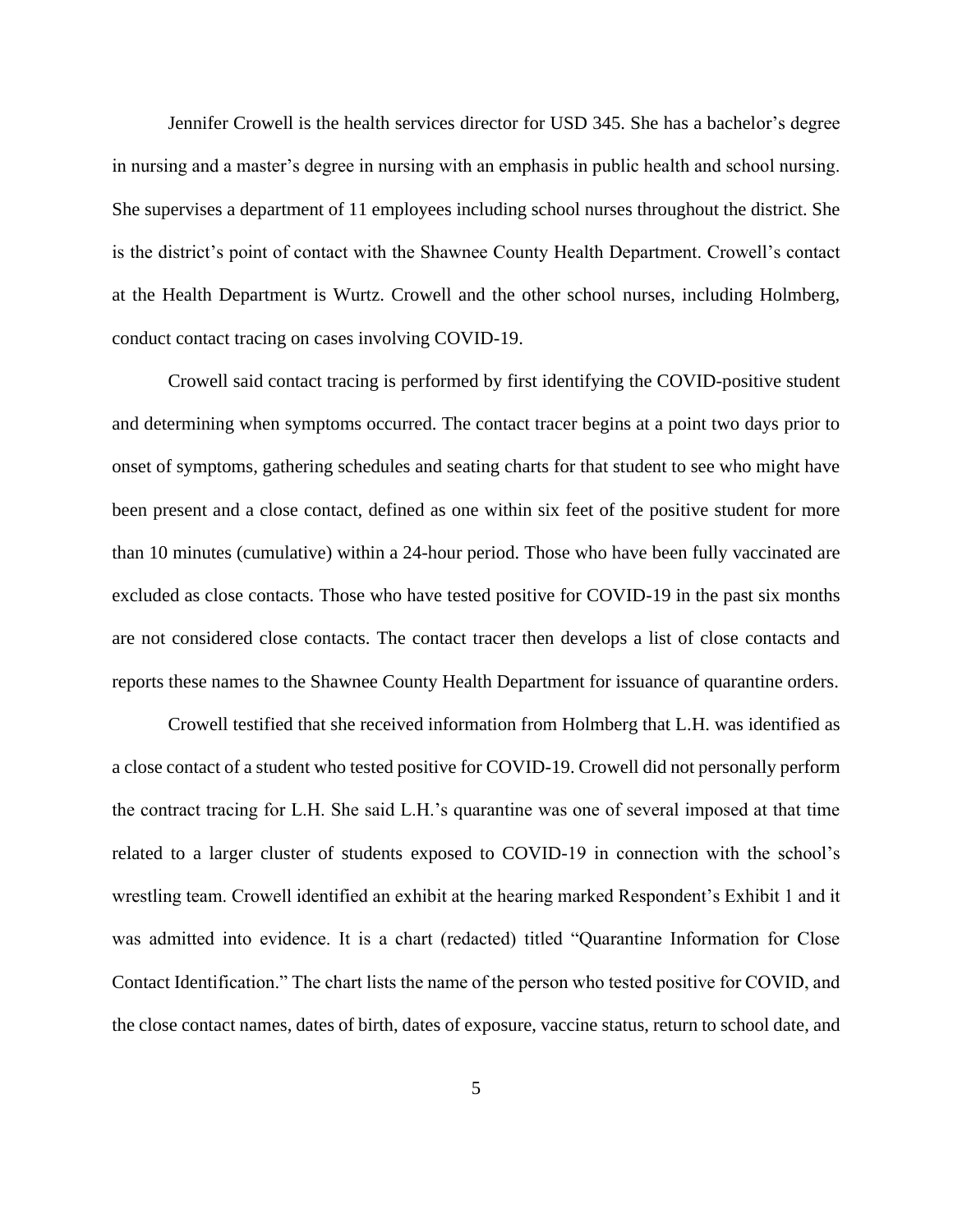Jennifer Crowell is the health services director for USD 345. She has a bachelor's degree in nursing and a master's degree in nursing with an emphasis in public health and school nursing. She supervises a department of 11 employees including school nurses throughout the district. She is the district's point of contact with the Shawnee County Health Department. Crowell's contact at the Health Department is Wurtz. Crowell and the other school nurses, including Holmberg, conduct contact tracing on cases involving COVID-19.

Crowell said contact tracing is performed by first identifying the COVID-positive student and determining when symptoms occurred. The contact tracer begins at a point two days prior to onset of symptoms, gathering schedules and seating charts for that student to see who might have been present and a close contact, defined as one within six feet of the positive student for more than 10 minutes (cumulative) within a 24-hour period. Those who have been fully vaccinated are excluded as close contacts. Those who have tested positive for COVID-19 in the past six months are not considered close contacts. The contact tracer then develops a list of close contacts and reports these names to the Shawnee County Health Department for issuance of quarantine orders.

Crowell testified that she received information from Holmberg that L.H. was identified as a close contact of a student who tested positive for COVID-19. Crowell did not personally perform the contract tracing for L.H. She said L.H.'s quarantine was one of several imposed at that time related to a larger cluster of students exposed to COVID-19 in connection with the school's wrestling team. Crowell identified an exhibit at the hearing marked Respondent's Exhibit 1 and it was admitted into evidence. It is a chart (redacted) titled "Quarantine Information for Close Contact Identification." The chart lists the name of the person who tested positive for COVID, and the close contact names, dates of birth, dates of exposure, vaccine status, return to school date, and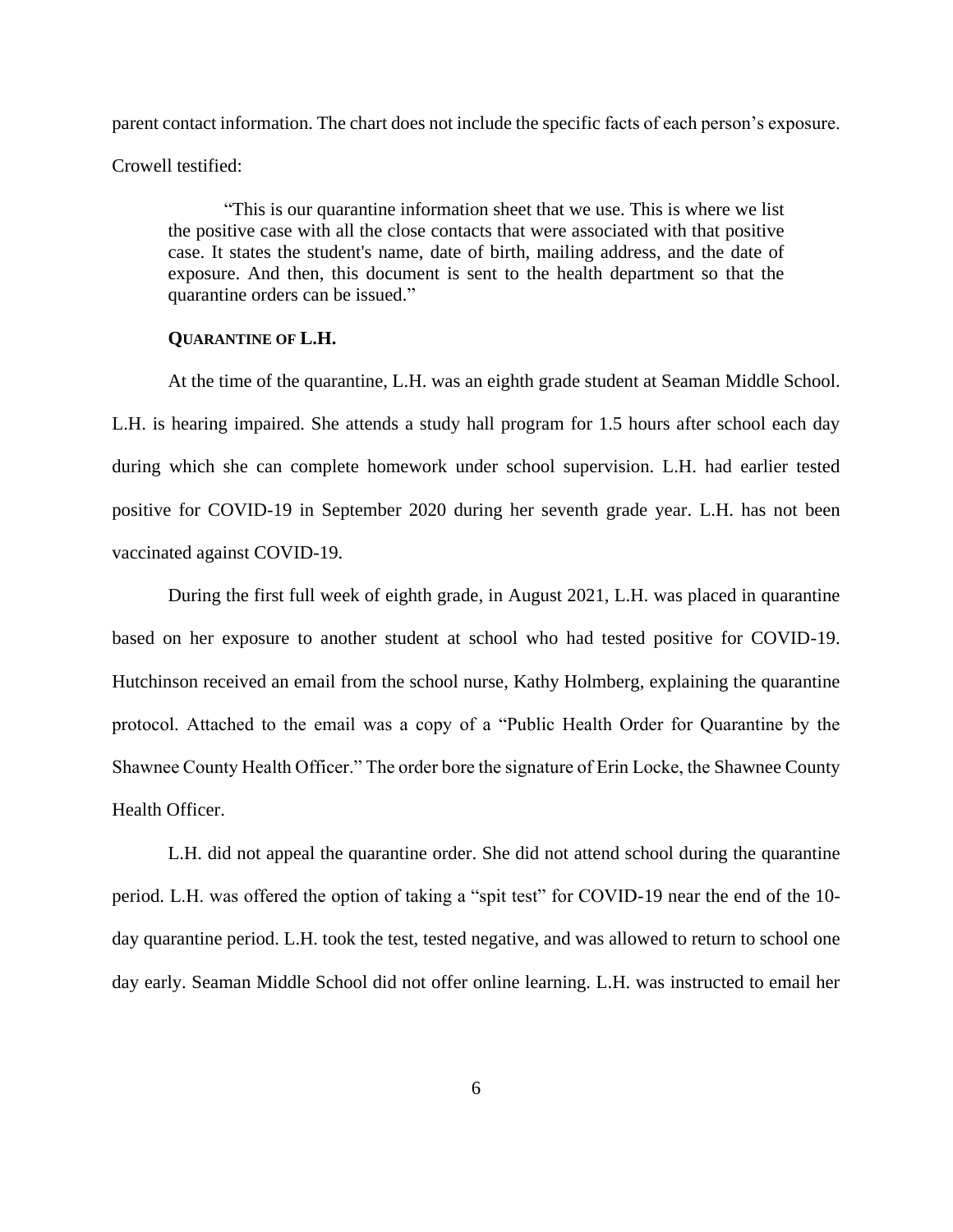parent contact information. The chart does not include the specific facts of each person's exposure. Crowell testified:

"This is our quarantine information sheet that we use. This is where we list the positive case with all the close contacts that were associated with that positive case. It states the student's name, date of birth, mailing address, and the date of exposure. And then, this document is sent to the health department so that the quarantine orders can be issued."

### **QUARANTINE OF L.H.**

At the time of the quarantine, L.H. was an eighth grade student at Seaman Middle School. L.H. is hearing impaired. She attends a study hall program for 1.5 hours after school each day during which she can complete homework under school supervision. L.H. had earlier tested positive for COVID-19 in September 2020 during her seventh grade year. L.H. has not been vaccinated against COVID-19.

During the first full week of eighth grade, in August 2021, L.H. was placed in quarantine based on her exposure to another student at school who had tested positive for COVID-19. Hutchinson received an email from the school nurse, Kathy Holmberg, explaining the quarantine protocol. Attached to the email was a copy of a "Public Health Order for Quarantine by the Shawnee County Health Officer." The order bore the signature of Erin Locke, the Shawnee County Health Officer.

L.H. did not appeal the quarantine order. She did not attend school during the quarantine period. L.H. was offered the option of taking a "spit test" for COVID-19 near the end of the 10 day quarantine period. L.H. took the test, tested negative, and was allowed to return to school one day early. Seaman Middle School did not offer online learning. L.H. was instructed to email her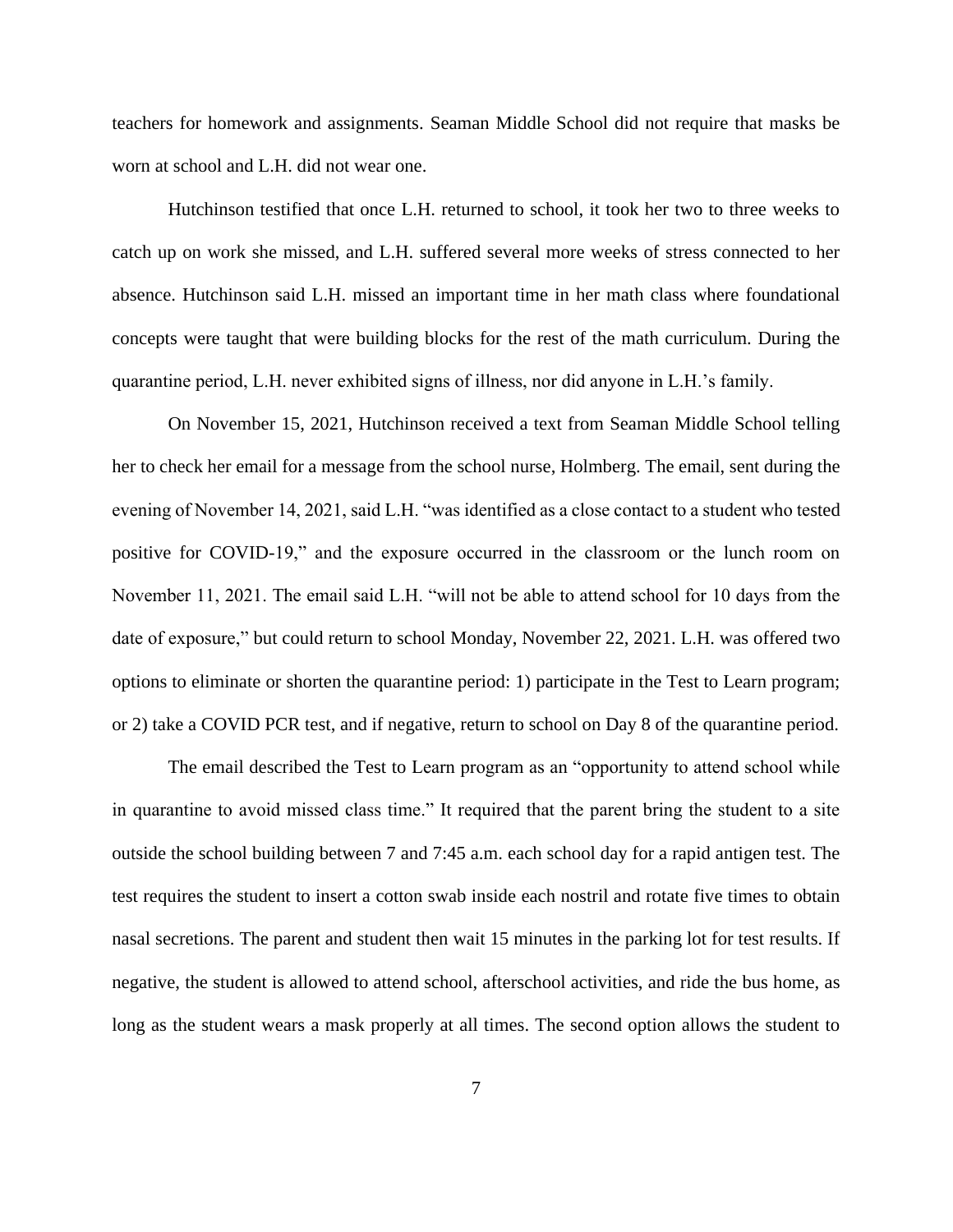teachers for homework and assignments. Seaman Middle School did not require that masks be worn at school and L.H. did not wear one.

Hutchinson testified that once L.H. returned to school, it took her two to three weeks to catch up on work she missed, and L.H. suffered several more weeks of stress connected to her absence. Hutchinson said L.H. missed an important time in her math class where foundational concepts were taught that were building blocks for the rest of the math curriculum. During the quarantine period, L.H. never exhibited signs of illness, nor did anyone in L.H.'s family.

On November 15, 2021, Hutchinson received a text from Seaman Middle School telling her to check her email for a message from the school nurse, Holmberg. The email, sent during the evening of November 14, 2021, said L.H. "was identified as a close contact to a student who tested positive for COVID-19," and the exposure occurred in the classroom or the lunch room on November 11, 2021. The email said L.H. "will not be able to attend school for 10 days from the date of exposure," but could return to school Monday, November 22, 2021. L.H. was offered two options to eliminate or shorten the quarantine period: 1) participate in the Test to Learn program; or 2) take a COVID PCR test, and if negative, return to school on Day 8 of the quarantine period.

The email described the Test to Learn program as an "opportunity to attend school while in quarantine to avoid missed class time." It required that the parent bring the student to a site outside the school building between 7 and 7:45 a.m. each school day for a rapid antigen test. The test requires the student to insert a cotton swab inside each nostril and rotate five times to obtain nasal secretions. The parent and student then wait 15 minutes in the parking lot for test results. If negative, the student is allowed to attend school, afterschool activities, and ride the bus home, as long as the student wears a mask properly at all times. The second option allows the student to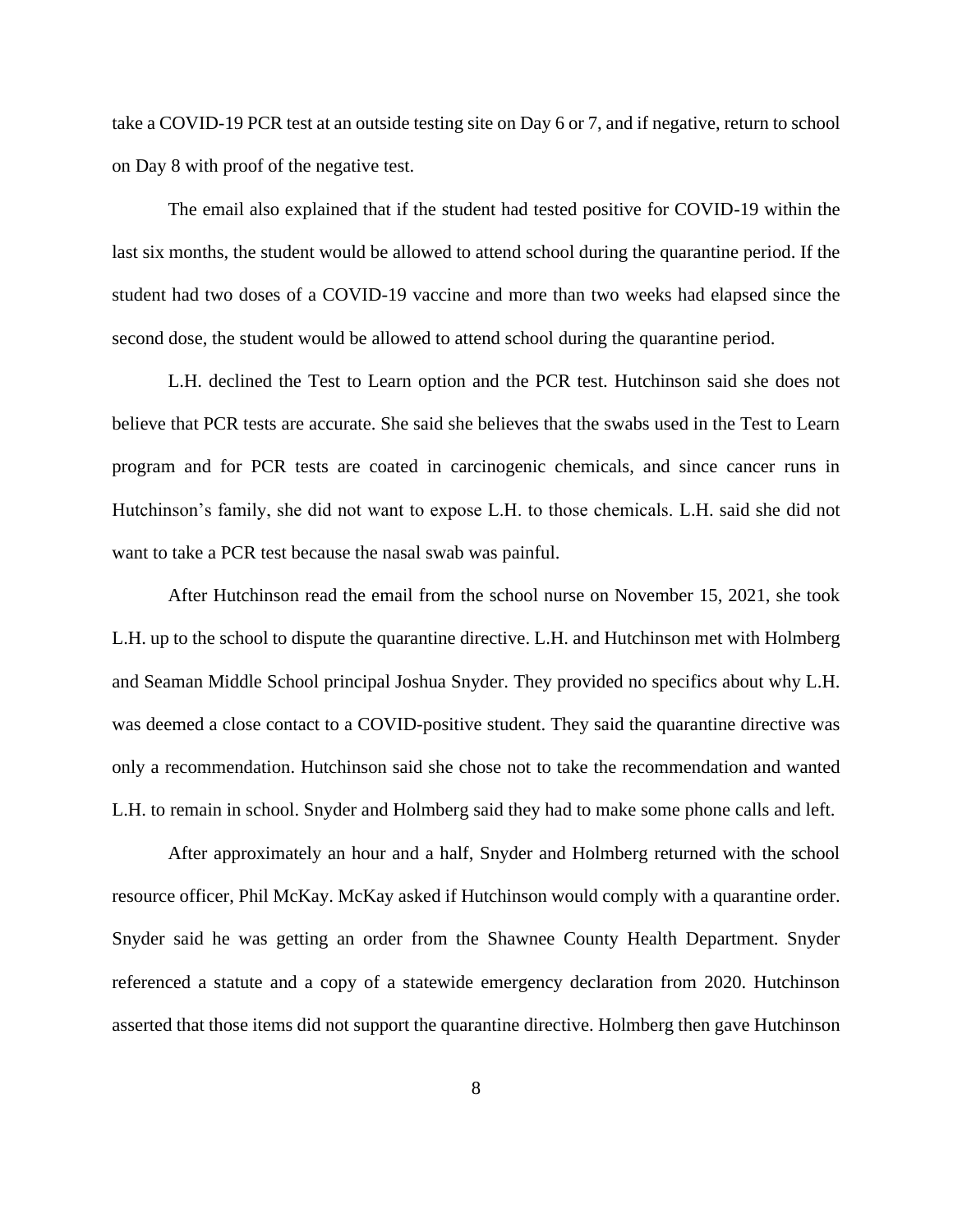take a COVID-19 PCR test at an outside testing site on Day 6 or 7, and if negative, return to school on Day 8 with proof of the negative test.

The email also explained that if the student had tested positive for COVID-19 within the last six months, the student would be allowed to attend school during the quarantine period. If the student had two doses of a COVID-19 vaccine and more than two weeks had elapsed since the second dose, the student would be allowed to attend school during the quarantine period.

L.H. declined the Test to Learn option and the PCR test. Hutchinson said she does not believe that PCR tests are accurate. She said she believes that the swabs used in the Test to Learn program and for PCR tests are coated in carcinogenic chemicals, and since cancer runs in Hutchinson's family, she did not want to expose L.H. to those chemicals. L.H. said she did not want to take a PCR test because the nasal swab was painful.

After Hutchinson read the email from the school nurse on November 15, 2021, she took L.H. up to the school to dispute the quarantine directive. L.H. and Hutchinson met with Holmberg and Seaman Middle School principal Joshua Snyder. They provided no specifics about why L.H. was deemed a close contact to a COVID-positive student. They said the quarantine directive was only a recommendation. Hutchinson said she chose not to take the recommendation and wanted L.H. to remain in school. Snyder and Holmberg said they had to make some phone calls and left.

After approximately an hour and a half, Snyder and Holmberg returned with the school resource officer, Phil McKay. McKay asked if Hutchinson would comply with a quarantine order. Snyder said he was getting an order from the Shawnee County Health Department. Snyder referenced a statute and a copy of a statewide emergency declaration from 2020. Hutchinson asserted that those items did not support the quarantine directive. Holmberg then gave Hutchinson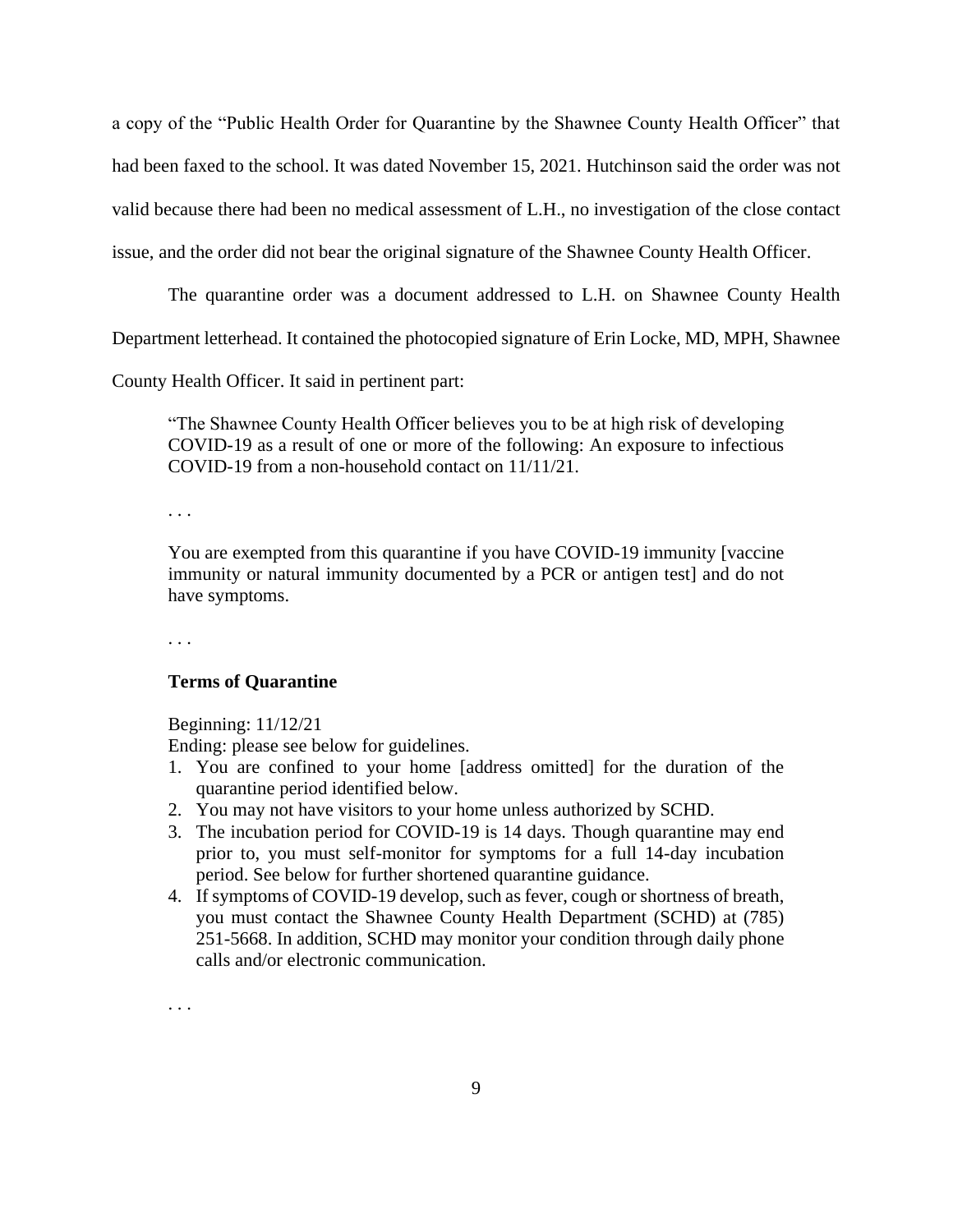a copy of the "Public Health Order for Quarantine by the Shawnee County Health Officer" that had been faxed to the school. It was dated November 15, 2021. Hutchinson said the order was not valid because there had been no medical assessment of L.H., no investigation of the close contact issue, and the order did not bear the original signature of the Shawnee County Health Officer.

The quarantine order was a document addressed to L.H. on Shawnee County Health

Department letterhead. It contained the photocopied signature of Erin Locke, MD, MPH, Shawnee

County Health Officer. It said in pertinent part:

"The Shawnee County Health Officer believes you to be at high risk of developing COVID-19 as a result of one or more of the following: An exposure to infectious COVID-19 from a non-household contact on 11/11/21.

. . .

You are exempted from this quarantine if you have COVID-19 immunity [vaccine immunity or natural immunity documented by a PCR or antigen test] and do not have symptoms.

. . .

### **Terms of Quarantine**

Beginning: 11/12/21

Ending: please see below for guidelines.

- 1. You are confined to your home [address omitted] for the duration of the quarantine period identified below.
- 2. You may not have visitors to your home unless authorized by SCHD.
- 3. The incubation period for COVID-19 is 14 days. Though quarantine may end prior to, you must self-monitor for symptoms for a full 14-day incubation period. See below for further shortened quarantine guidance.
- 4. If symptoms of COVID-19 develop, such as fever, cough or shortness of breath, you must contact the Shawnee County Health Department (SCHD) at (785) 251-5668. In addition, SCHD may monitor your condition through daily phone calls and/or electronic communication.

. . .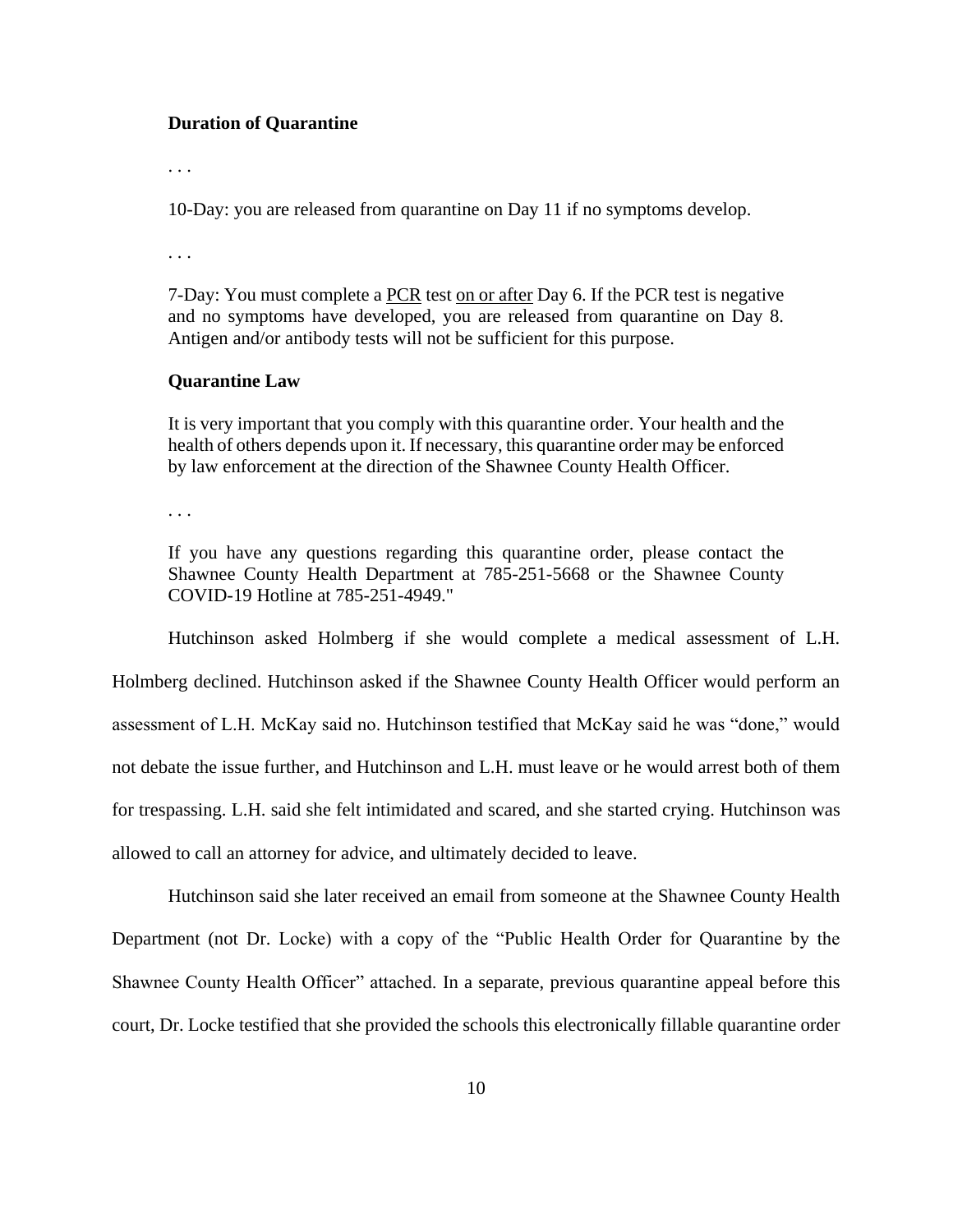#### **Duration of Quarantine**

. . .

10-Day: you are released from quarantine on Day 11 if no symptoms develop.

. . .

7-Day: You must complete a PCR test on or after Day 6. If the PCR test is negative and no symptoms have developed, you are released from quarantine on Day 8. Antigen and/or antibody tests will not be sufficient for this purpose.

### **Quarantine Law**

It is very important that you comply with this quarantine order. Your health and the health of others depends upon it. If necessary, this quarantine order may be enforced by law enforcement at the direction of the Shawnee County Health Officer.

. . .

If you have any questions regarding this quarantine order, please contact the Shawnee County Health Department at 785-251-5668 or the Shawnee County COVID-19 Hotline at 785-251-4949."

Hutchinson asked Holmberg if she would complete a medical assessment of L.H. Holmberg declined. Hutchinson asked if the Shawnee County Health Officer would perform an assessment of L.H. McKay said no. Hutchinson testified that McKay said he was "done," would not debate the issue further, and Hutchinson and L.H. must leave or he would arrest both of them for trespassing. L.H. said she felt intimidated and scared, and she started crying. Hutchinson was allowed to call an attorney for advice, and ultimately decided to leave.

Hutchinson said she later received an email from someone at the Shawnee County Health Department (not Dr. Locke) with a copy of the "Public Health Order for Quarantine by the Shawnee County Health Officer" attached. In a separate, previous quarantine appeal before this court, Dr. Locke testified that she provided the schools this electronically fillable quarantine order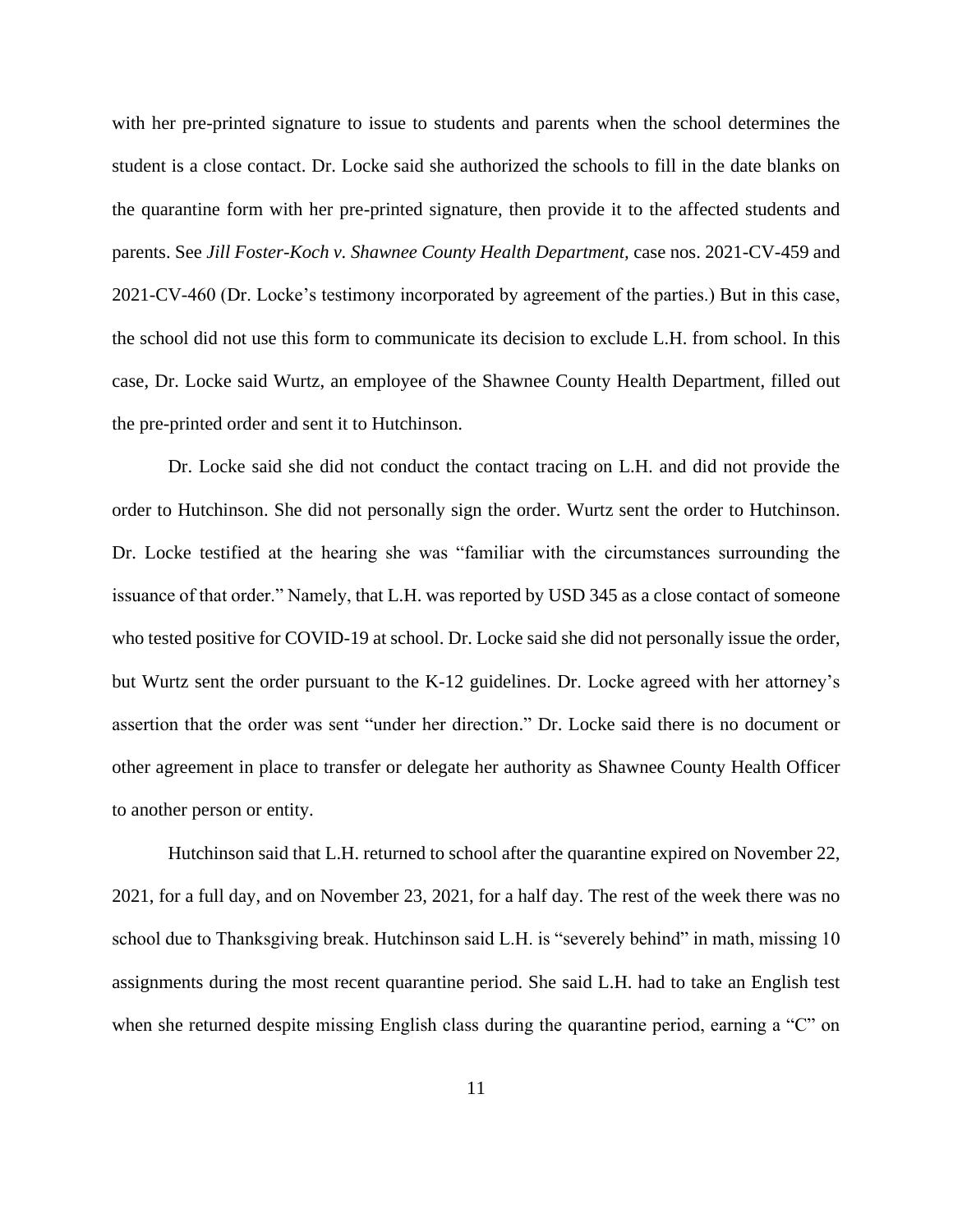with her pre-printed signature to issue to students and parents when the school determines the student is a close contact. Dr. Locke said she authorized the schools to fill in the date blanks on the quarantine form with her pre-printed signature, then provide it to the affected students and parents. See *Jill Foster-Koch v. Shawnee County Health Department,* case nos. 2021-CV-459 and 2021-CV-460 (Dr. Locke's testimony incorporated by agreement of the parties.) But in this case, the school did not use this form to communicate its decision to exclude L.H. from school. In this case, Dr. Locke said Wurtz, an employee of the Shawnee County Health Department, filled out the pre-printed order and sent it to Hutchinson.

Dr. Locke said she did not conduct the contact tracing on L.H. and did not provide the order to Hutchinson. She did not personally sign the order. Wurtz sent the order to Hutchinson. Dr. Locke testified at the hearing she was "familiar with the circumstances surrounding the issuance of that order." Namely, that L.H. was reported by USD 345 as a close contact of someone who tested positive for COVID-19 at school. Dr. Locke said she did not personally issue the order, but Wurtz sent the order pursuant to the K-12 guidelines. Dr. Locke agreed with her attorney's assertion that the order was sent "under her direction." Dr. Locke said there is no document or other agreement in place to transfer or delegate her authority as Shawnee County Health Officer to another person or entity.

Hutchinson said that L.H. returned to school after the quarantine expired on November 22, 2021, for a full day, and on November 23, 2021, for a half day. The rest of the week there was no school due to Thanksgiving break. Hutchinson said L.H. is "severely behind" in math, missing 10 assignments during the most recent quarantine period. She said L.H. had to take an English test when she returned despite missing English class during the quarantine period, earning a "C" on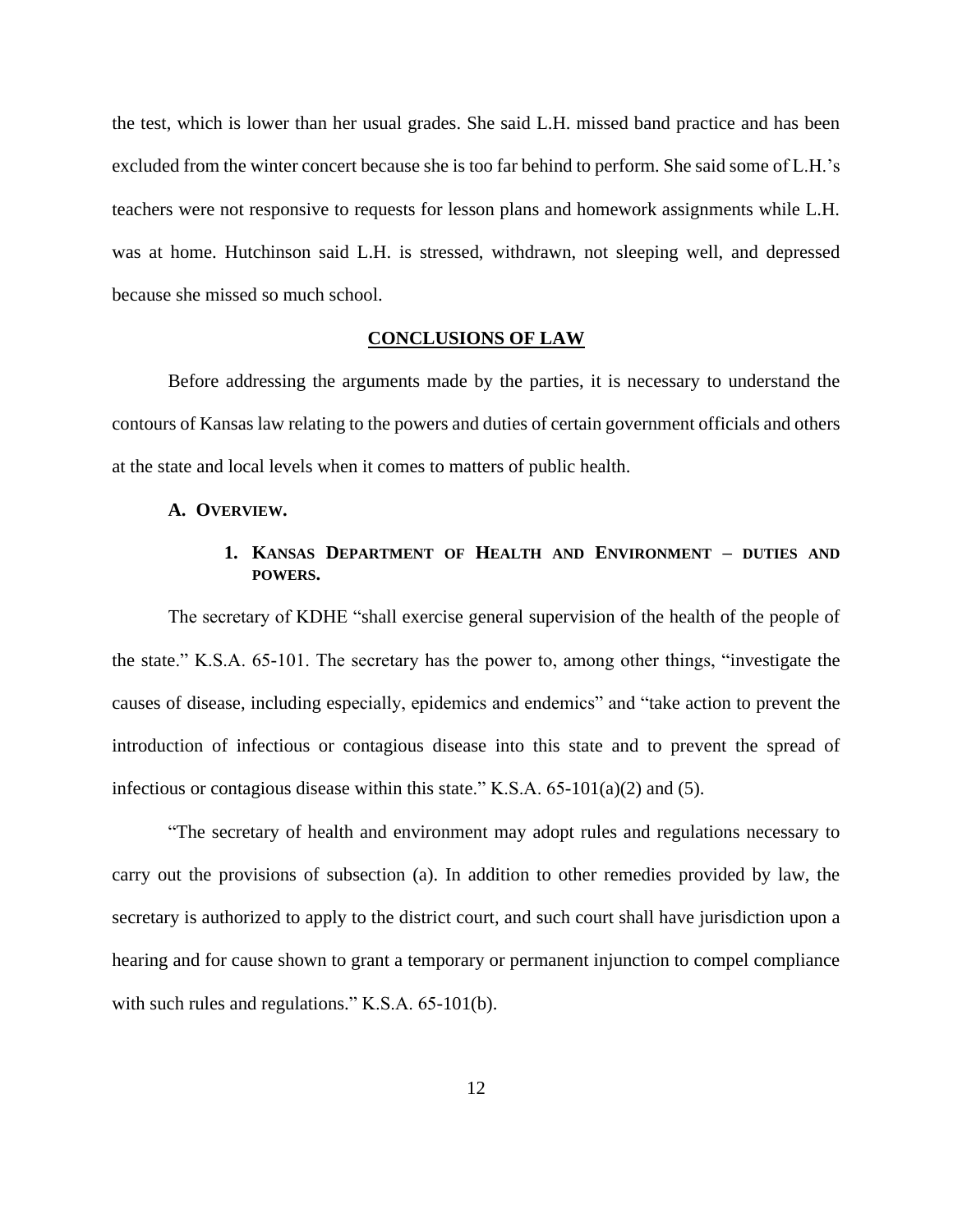the test, which is lower than her usual grades. She said L.H. missed band practice and has been excluded from the winter concert because she is too far behind to perform. She said some of L.H.'s teachers were not responsive to requests for lesson plans and homework assignments while L.H. was at home. Hutchinson said L.H. is stressed, withdrawn, not sleeping well, and depressed because she missed so much school.

## **CONCLUSIONS OF LAW**

Before addressing the arguments made by the parties, it is necessary to understand the contours of Kansas law relating to the powers and duties of certain government officials and others at the state and local levels when it comes to matters of public health.

### **A. OVERVIEW.**

# **1. KANSAS DEPARTMENT OF HEALTH AND ENVIRONMENT – DUTIES AND POWERS.**

The secretary of KDHE "shall exercise general supervision of the health of the people of the state." K.S.A. 65-101. The secretary has the power to, among other things, "investigate the causes of disease, including especially, epidemics and endemics" and "take action to prevent the introduction of infectious or contagious disease into this state and to prevent the spread of infectious or contagious disease within this state." K.S.A. 65-101(a)(2) and (5).

"The secretary of health and environment may adopt rules and regulations necessary to carry out the provisions of subsection (a). In addition to other remedies provided by law, the secretary is authorized to apply to the district court, and such court shall have jurisdiction upon a hearing and for cause shown to grant a temporary or permanent injunction to compel compliance with such rules and regulations." K.S.A. 65-101(b).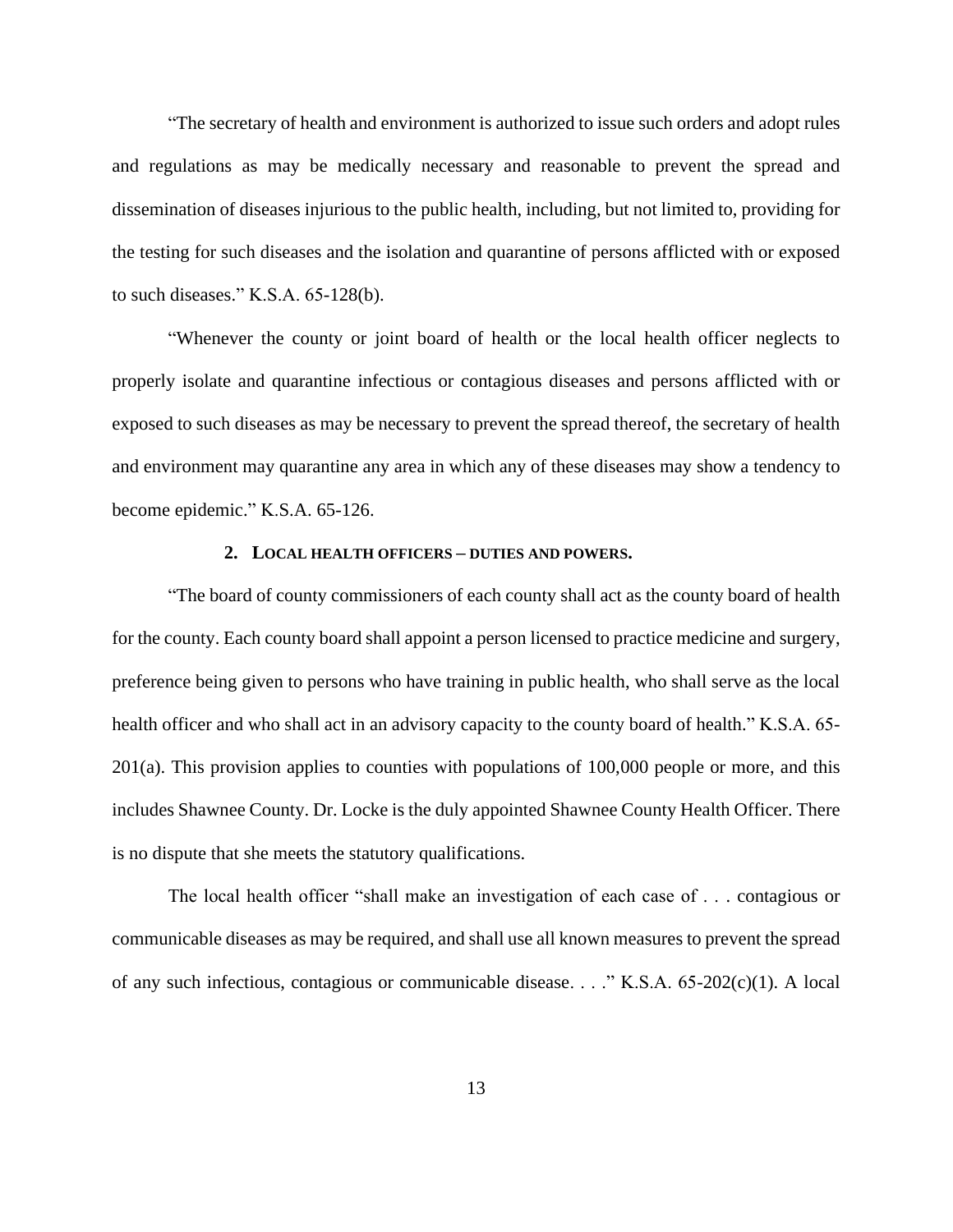"The secretary of health and environment is authorized to issue such orders and adopt rules and regulations as may be medically necessary and reasonable to prevent the spread and dissemination of diseases injurious to the public health, including, but not limited to, providing for the testing for such diseases and the isolation and quarantine of persons afflicted with or exposed to such diseases." K.S.A. 65-128(b).

"Whenever the county or joint board of health or the local health officer neglects to properly isolate and quarantine infectious or contagious diseases and persons afflicted with or exposed to such diseases as may be necessary to prevent the spread thereof, the secretary of health and environment may quarantine any area in which any of these diseases may show a tendency to become epidemic." K.S.A. 65-126.

# **2. LOCAL HEALTH OFFICERS – DUTIES AND POWERS.**

"The board of county commissioners of each county shall act as the county board of health for the county. Each county board shall appoint a person licensed to practice medicine and surgery, preference being given to persons who have training in public health, who shall serve as the local health officer and who shall act in an advisory capacity to the county board of health." K.S.A. 65- $201(a)$ . This provision applies to counties with populations of 100,000 people or more, and this includes Shawnee County. Dr. Locke is the duly appointed Shawnee County Health Officer. There is no dispute that she meets the statutory qualifications.

The local health officer "shall make an investigation of each case of . . . contagious or communicable diseases as may be required, and shall use all known measures to prevent the spread of any such infectious, contagious or communicable disease. . . ." K.S.A. 65-202(c)(1). A local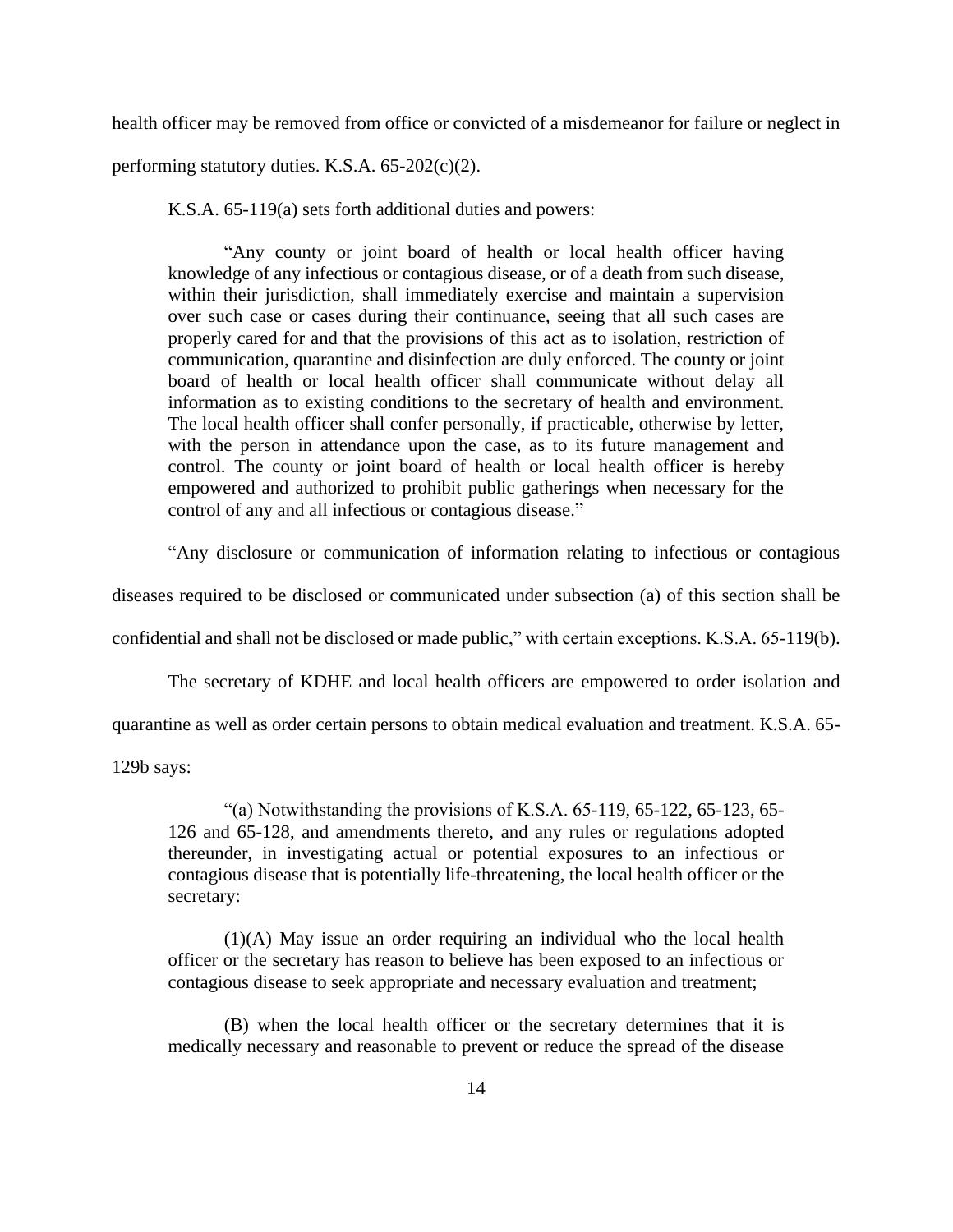health officer may be removed from office or convicted of a misdemeanor for failure or neglect in

performing statutory duties. K.S.A. 65-202(c)(2).

K.S.A. 65-119(a) sets forth additional duties and powers:

"Any county or joint board of health or local health officer having knowledge of any infectious or contagious disease, or of a death from such disease, within their jurisdiction, shall immediately exercise and maintain a supervision over such case or cases during their continuance, seeing that all such cases are properly cared for and that the provisions of this act as to isolation, restriction of communication, quarantine and disinfection are duly enforced. The county or joint board of health or local health officer shall communicate without delay all information as to existing conditions to the secretary of health and environment. The local health officer shall confer personally, if practicable, otherwise by letter, with the person in attendance upon the case, as to its future management and control. The county or joint board of health or local health officer is hereby empowered and authorized to prohibit public gatherings when necessary for the control of any and all infectious or contagious disease."

"Any disclosure or communication of information relating to infectious or contagious

diseases required to be disclosed or communicated under subsection (a) of this section shall be

confidential and shall not be disclosed or made public," with certain exceptions. K.S.A. 65-119(b).

The secretary of KDHE and local health officers are empowered to order isolation and

quarantine as well as order certain persons to obtain medical evaluation and treatment. K.S.A. 65-

129b says:

"(a) Notwithstanding the provisions of K.S.A.  $65-119$ ,  $65-122$ ,  $65-123$ ,  $65-$ 126 and 65-128, and amendments thereto, and any rules or regulations adopted thereunder, in investigating actual or potential exposures to an infectious or contagious disease that is potentially life-threatening, the local health officer or the secretary:

(1)(A) May issue an order requiring an individual who the local health officer or the secretary has reason to believe has been exposed to an infectious or contagious disease to seek appropriate and necessary evaluation and treatment;

(B) when the local health officer or the secretary determines that it is medically necessary and reasonable to prevent or reduce the spread of the disease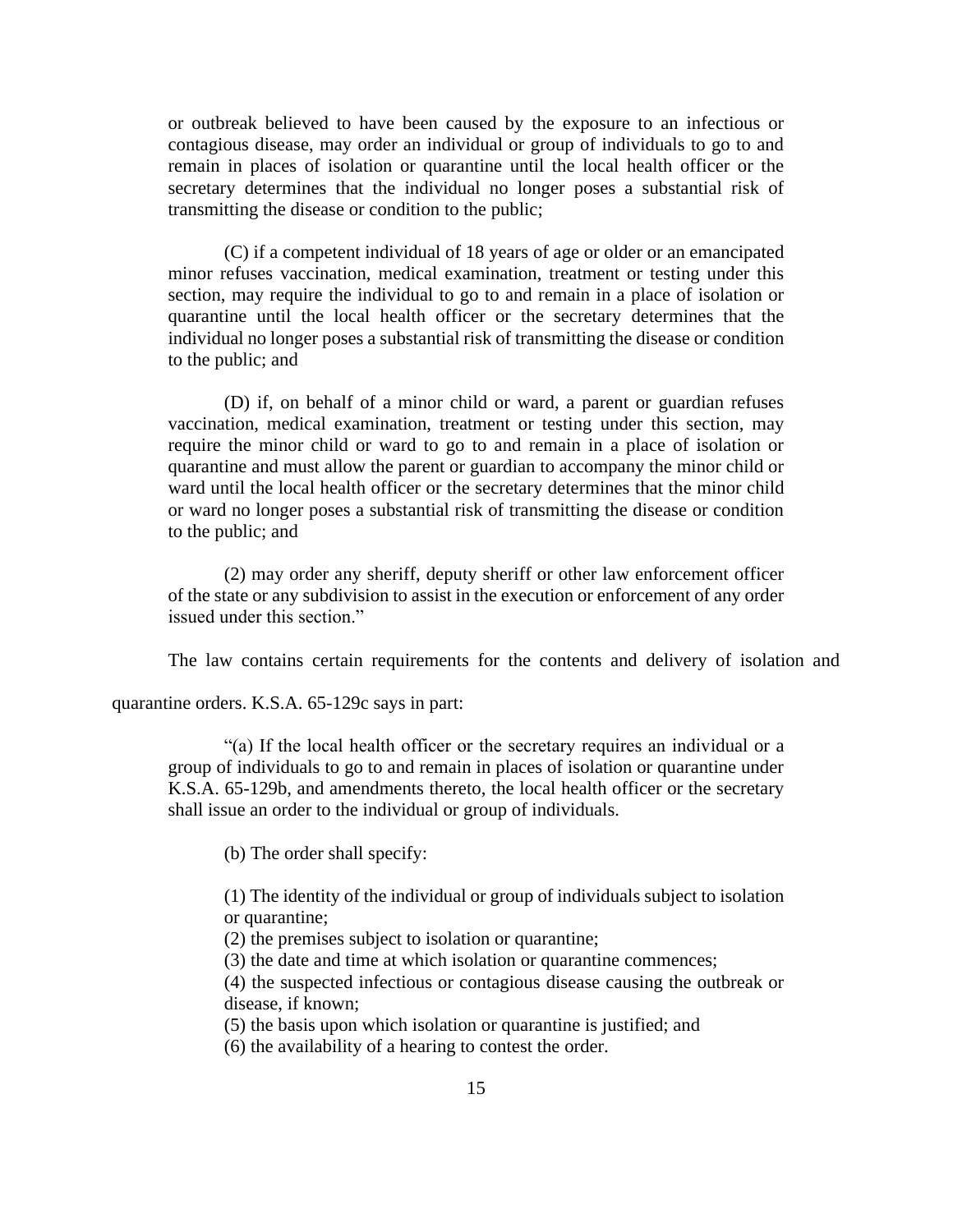or outbreak believed to have been caused by the exposure to an infectious or contagious disease, may order an individual or group of individuals to go to and remain in places of isolation or quarantine until the local health officer or the secretary determines that the individual no longer poses a substantial risk of transmitting the disease or condition to the public;

(C) if a competent individual of 18 years of age or older or an emancipated minor refuses vaccination, medical examination, treatment or testing under this section, may require the individual to go to and remain in a place of isolation or quarantine until the local health officer or the secretary determines that the individual no longer poses a substantial risk of transmitting the disease or condition to the public; and

(D) if, on behalf of a minor child or ward, a parent or guardian refuses vaccination, medical examination, treatment or testing under this section, may require the minor child or ward to go to and remain in a place of isolation or quarantine and must allow the parent or guardian to accompany the minor child or ward until the local health officer or the secretary determines that the minor child or ward no longer poses a substantial risk of transmitting the disease or condition to the public; and

(2) may order any sheriff, deputy sheriff or other law enforcement officer of the state or any subdivision to assist in the execution or enforcement of any order issued under this section."

The law contains certain requirements for the contents and delivery of isolation and

quarantine orders. K.S.A. 65-129c says in part:

"(a) If the local health officer or the secretary requires an individual or a group of individuals to go to and remain in places of isolation or quarantine under K.S.A. 65-129b, and amendments thereto, the local health officer or the secretary shall issue an order to the individual or group of individuals.

(b) The order shall specify:

(1) The identity of the individual or group of individuals subject to isolation or quarantine;

(2) the premises subject to isolation or quarantine;

(3) the date and time at which isolation or quarantine commences;

(4) the suspected infectious or contagious disease causing the outbreak or disease, if known;

(5) the basis upon which isolation or quarantine is justified; and

(6) the availability of a hearing to contest the order.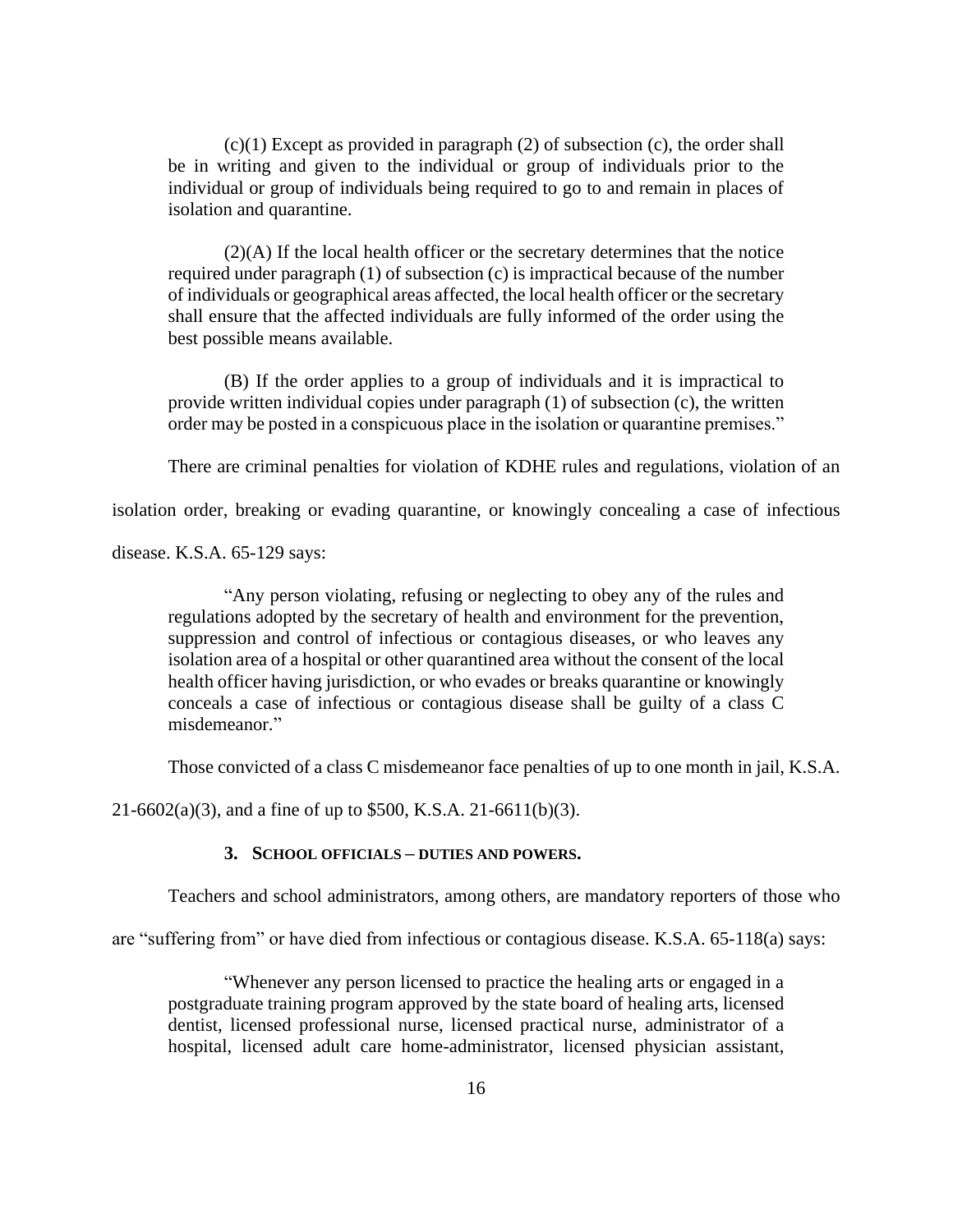(c)(1) Except as provided in paragraph (2) of subsection (c), the order shall be in writing and given to the individual or group of individuals prior to the individual or group of individuals being required to go to and remain in places of isolation and quarantine.

(2)(A) If the local health officer or the secretary determines that the notice required under paragraph (1) of subsection (c) is impractical because of the number of individuals or geographical areas affected, the local health officer or the secretary shall ensure that the affected individuals are fully informed of the order using the best possible means available.

(B) If the order applies to a group of individuals and it is impractical to provide written individual copies under paragraph (1) of subsection (c), the written order may be posted in a conspicuous place in the isolation or quarantine premises."

There are criminal penalties for violation of KDHE rules and regulations, violation of an

isolation order, breaking or evading quarantine, or knowingly concealing a case of infectious

disease. K.S.A. 65-129 says:

"Any person violating, refusing or neglecting to obey any of the rules and regulations adopted by the secretary of health and environment for the prevention, suppression and control of infectious or contagious diseases, or who leaves any isolation area of a hospital or other quarantined area without the consent of the local health officer having jurisdiction, or who evades or breaks quarantine or knowingly conceals a case of infectious or contagious disease shall be guilty of a class C misdemeanor."

Those convicted of a class C misdemeanor face penalties of up to one month in jail, K.S.A.

21-6602(a)(3), and a fine of up to \$500, K.S.A. 21-6611(b)(3).

### **3. SCHOOL OFFICIALS – DUTIES AND POWERS.**

Teachers and school administrators, among others, are mandatory reporters of those who

are "suffering from" or have died from infectious or contagious disease. K.S.A. 65-118(a) says:

"Whenever any person licensed to practice the healing arts or engaged in a postgraduate training program approved by the state board of healing arts, licensed dentist, licensed professional nurse, licensed practical nurse, administrator of a hospital, licensed adult care home-administrator, licensed physician assistant,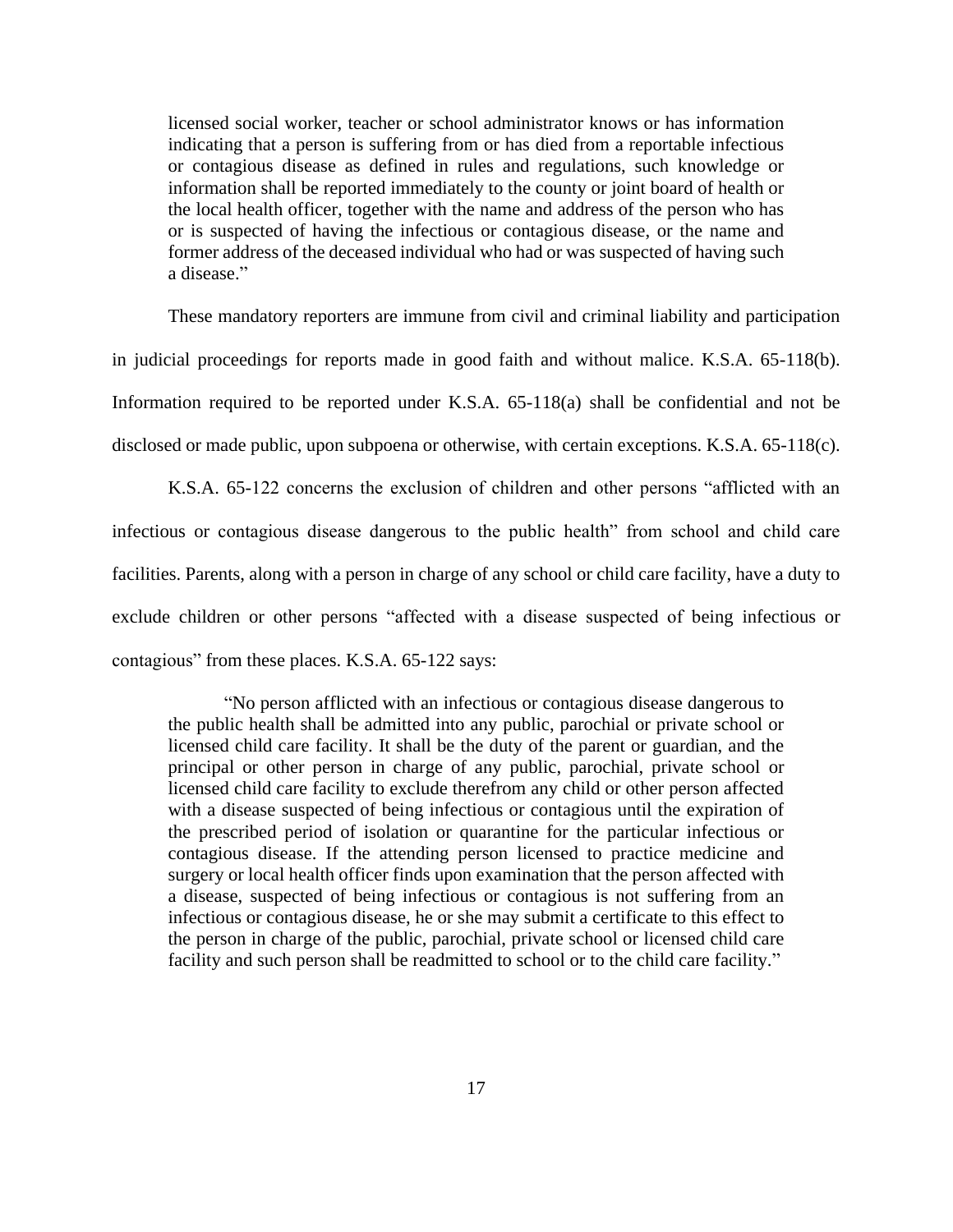licensed social worker, teacher or school administrator knows or has information indicating that a person is suffering from or has died from a reportable infectious or contagious disease as defined in rules and regulations, such knowledge or information shall be reported immediately to the county or joint board of health or the local health officer, together with the name and address of the person who has or is suspected of having the infectious or contagious disease, or the name and former address of the deceased individual who had or was suspected of having such a disease."

These mandatory reporters are immune from civil and criminal liability and participation in judicial proceedings for reports made in good faith and without malice. K.S.A. 65-118(b). Information required to be reported under K.S.A. 65-118(a) shall be confidential and not be disclosed or made public, upon subpoena or otherwise, with certain exceptions. K.S.A. 65-118(c).

K.S.A. 65-122 concerns the exclusion of children and other persons "afflicted with an infectious or contagious disease dangerous to the public health" from school and child care facilities. Parents, along with a person in charge of any school or child care facility, have a duty to exclude children or other persons "affected with a disease suspected of being infectious or contagious" from these places. K.S.A. 65-122 says:

"No person afflicted with an infectious or contagious disease dangerous to the public health shall be admitted into any public, parochial or private school or licensed child care facility. It shall be the duty of the parent or guardian, and the principal or other person in charge of any public, parochial, private school or licensed child care facility to exclude therefrom any child or other person affected with a disease suspected of being infectious or contagious until the expiration of the prescribed period of isolation or quarantine for the particular infectious or contagious disease. If the attending person licensed to practice medicine and surgery or local health officer finds upon examination that the person affected with a disease, suspected of being infectious or contagious is not suffering from an infectious or contagious disease, he or she may submit a certificate to this effect to the person in charge of the public, parochial, private school or licensed child care facility and such person shall be readmitted to school or to the child care facility."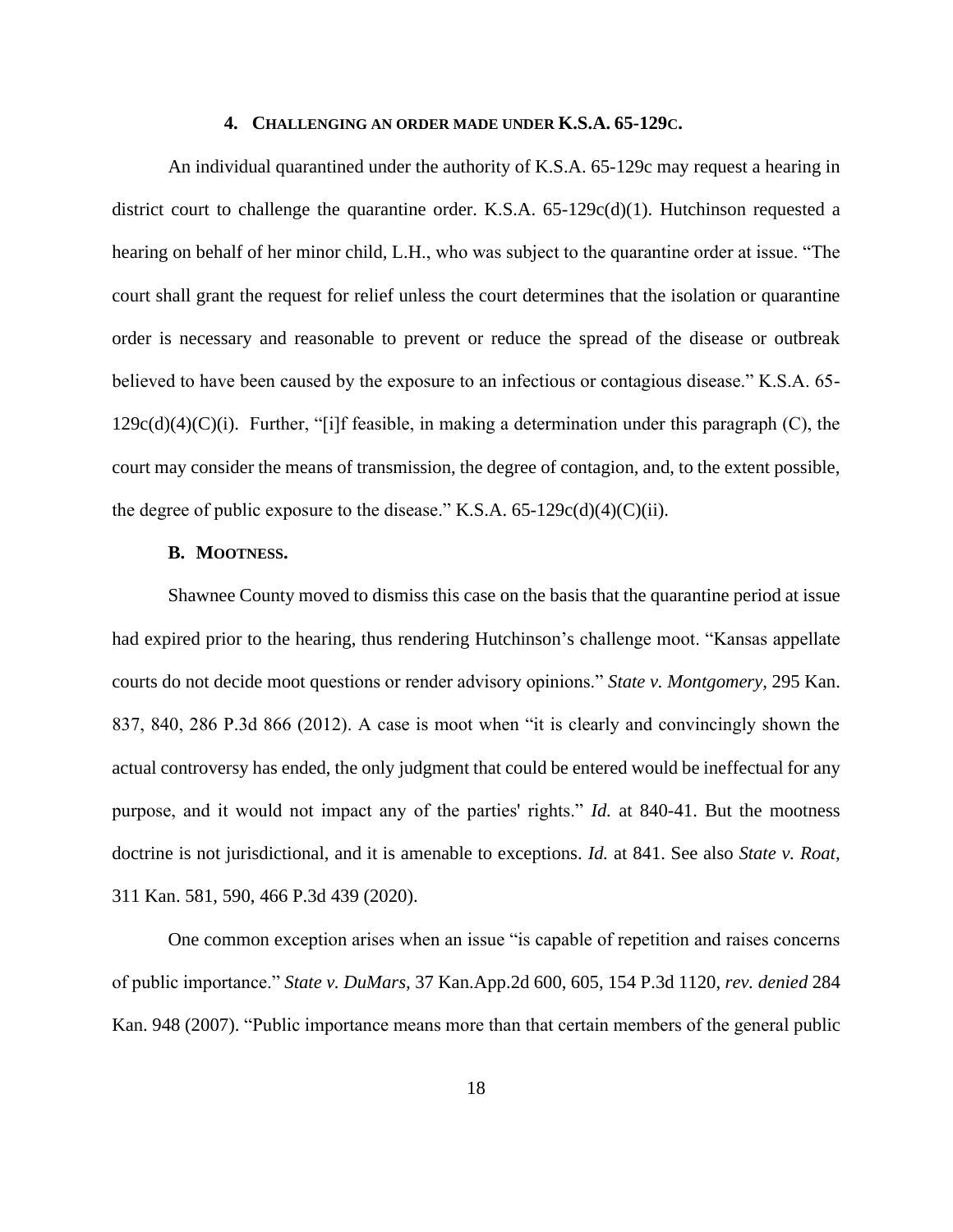#### **4. CHALLENGING AN ORDER MADE UNDER K.S.A. 65-129C.**

An individual quarantined under the authority of K.S.A. 65-129c may request a hearing in district court to challenge the quarantine order. K.S.A. 65-129c(d)(1). Hutchinson requested a hearing on behalf of her minor child, L.H., who was subject to the quarantine order at issue. "The court shall grant the request for relief unless the court determines that the isolation or quarantine order is necessary and reasonable to prevent or reduce the spread of the disease or outbreak believed to have been caused by the exposure to an infectious or contagious disease." K.S.A. 65-  $129c(d)(4)(C)(i)$ . Further, "[i]f feasible, in making a determination under this paragraph (C), the court may consider the means of transmission, the degree of contagion, and, to the extent possible, the degree of public exposure to the disease." K.S.A.  $65-129c(d)(4)(C)(ii)$ .

### **B. MOOTNESS.**

Shawnee County moved to dismiss this case on the basis that the quarantine period at issue had expired prior to the hearing, thus rendering Hutchinson's challenge moot. "Kansas appellate courts do not decide moot questions or render advisory opinions." *State v. Montgomery,* 295 Kan. 837, 840, 286 P.3d 866 (2012). A case is moot when "it is clearly and convincingly shown the actual controversy has ended, the only judgment that could be entered would be ineffectual for any purpose, and it would not impact any of the parties' rights." *Id.* at 840-41. But the mootness doctrine is not jurisdictional, and it is amenable to exceptions. *Id.* at 841. See also *State v. Roat,* 311 Kan. 581, 590, 466 P.3d 439 (2020).

One common exception arises when an issue "is capable of repetition and raises concerns of public importance." *State v. DuMars,* 37 Kan.App.2d 600, 605, 154 P.3d 1120, *rev. denied* 284 Kan. 948 (2007). "Public importance means more than that certain members of the general public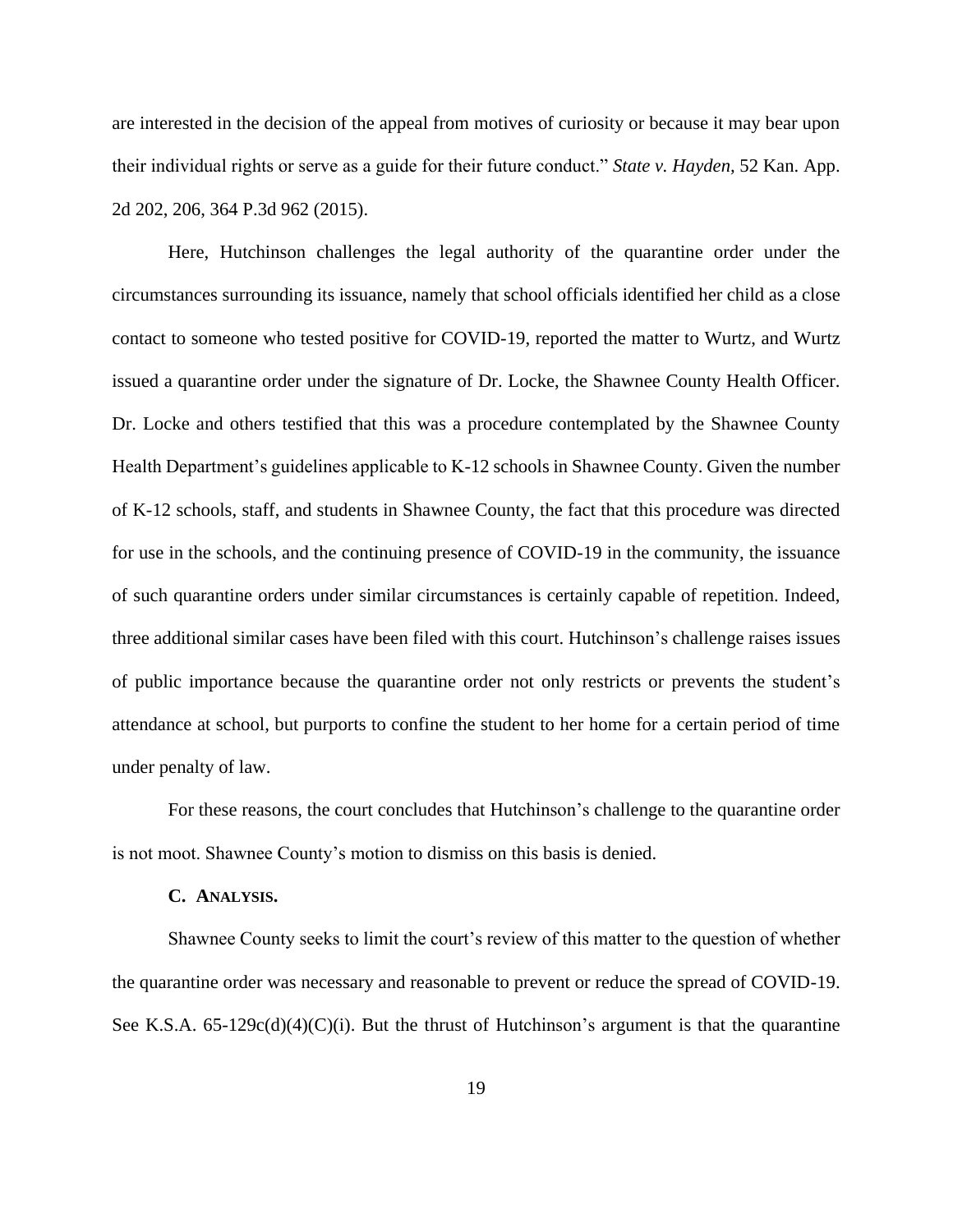are interested in the decision of the appeal from motives of curiosity or because it may bear upon their individual rights or serve as a guide for their future conduct." *State v. Hayden,* 52 Kan. App. 2d 202, 206, 364 P.3d 962 (2015).

Here, Hutchinson challenges the legal authority of the quarantine order under the circumstances surrounding its issuance, namely that school officials identified her child as a close contact to someone who tested positive for COVID-19, reported the matter to Wurtz, and Wurtz issued a quarantine order under the signature of Dr. Locke, the Shawnee County Health Officer. Dr. Locke and others testified that this was a procedure contemplated by the Shawnee County Health Department's guidelines applicable to K-12 schools in Shawnee County. Given the number of K-12 schools, staff, and students in Shawnee County, the fact that this procedure was directed for use in the schools, and the continuing presence of COVID-19 in the community, the issuance of such quarantine orders under similar circumstances is certainly capable of repetition. Indeed, three additional similar cases have been filed with this court. Hutchinson's challenge raises issues of public importance because the quarantine order not only restricts or prevents the student's attendance at school, but purports to confine the student to her home for a certain period of time under penalty of law.

For these reasons, the court concludes that Hutchinson's challenge to the quarantine order is not moot. Shawnee County's motion to dismiss on this basis is denied.

#### **C. ANALYSIS.**

Shawnee County seeks to limit the court's review of this matter to the question of whether the quarantine order was necessary and reasonable to prevent or reduce the spread of COVID-19. See K.S.A.  $65-129c(d)(4)(C)(i)$ . But the thrust of Hutchinson's argument is that the quarantine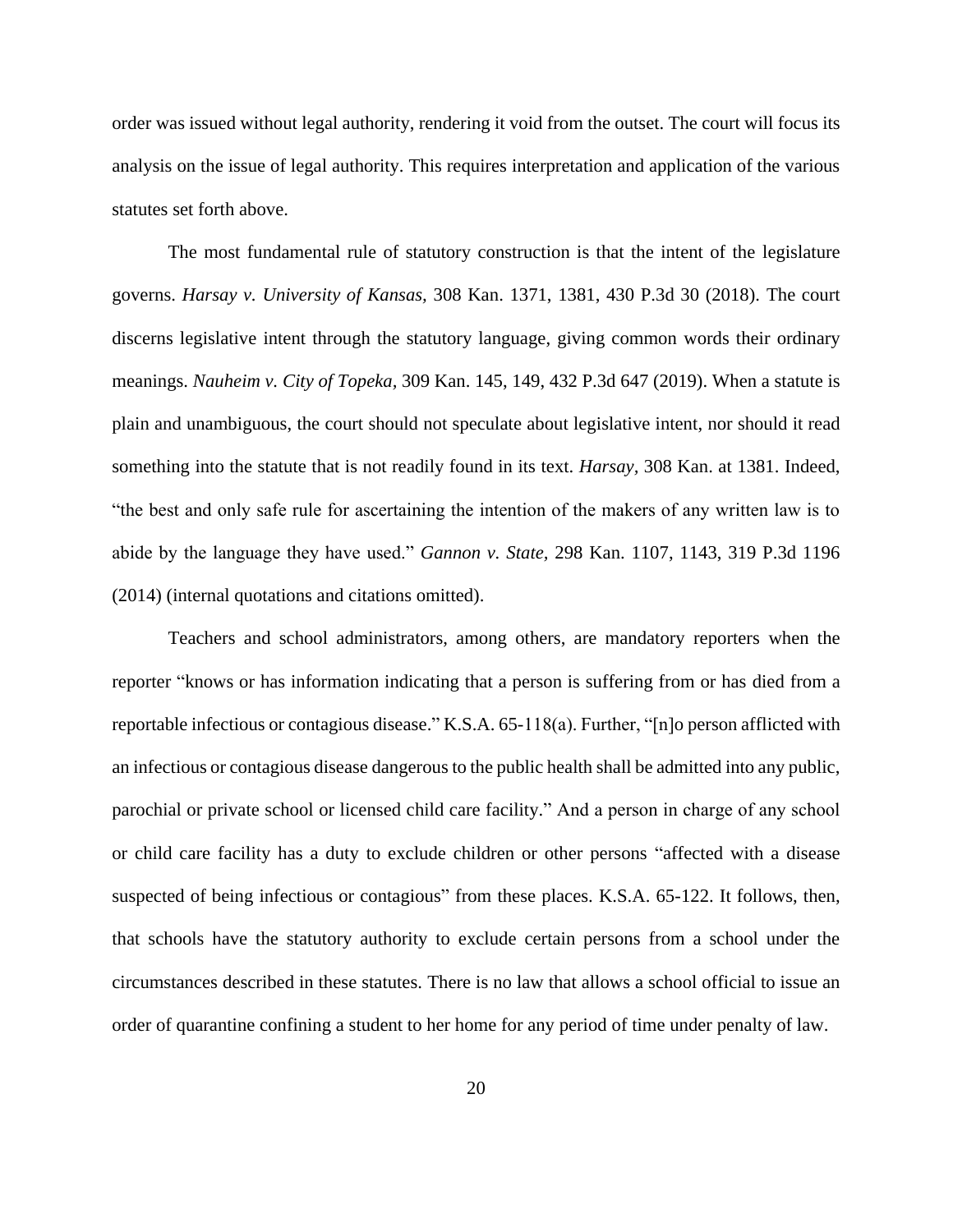order was issued without legal authority, rendering it void from the outset. The court will focus its analysis on the issue of legal authority. This requires interpretation and application of the various statutes set forth above.

The most fundamental rule of statutory construction is that the intent of the legislature governs. *Harsay v. University of Kansas,* 308 Kan. 1371, 1381, 430 P.3d 30 (2018). The court discerns legislative intent through the statutory language, giving common words their ordinary meanings. *Nauheim v. City of Topeka,* 309 Kan. 145, 149, 432 P.3d 647 (2019). When a statute is plain and unambiguous, the court should not speculate about legislative intent, nor should it read something into the statute that is not readily found in its text. *Harsay,* 308 Kan. at 1381. Indeed, "the best and only safe rule for ascertaining the intention of the makers of any written law is to abide by the language they have used." *Gannon v. State,* 298 Kan. 1107, 1143, 319 P.3d 1196 (2014) (internal quotations and citations omitted).

Teachers and school administrators, among others, are mandatory reporters when the reporter "knows or has information indicating that a person is suffering from or has died from a reportable infectious or contagious disease." K.S.A. 65-118(a). Further, "[n]o person afflicted with an infectious or contagious disease dangerous to the public health shall be admitted into any public, parochial or private school or licensed child care facility." And a person in charge of any school or child care facility has a duty to exclude children or other persons "affected with a disease suspected of being infectious or contagious" from these places. K.S.A. 65-122. It follows, then, that schools have the statutory authority to exclude certain persons from a school under the circumstances described in these statutes. There is no law that allows a school official to issue an order of quarantine confining a student to her home for any period of time under penalty of law.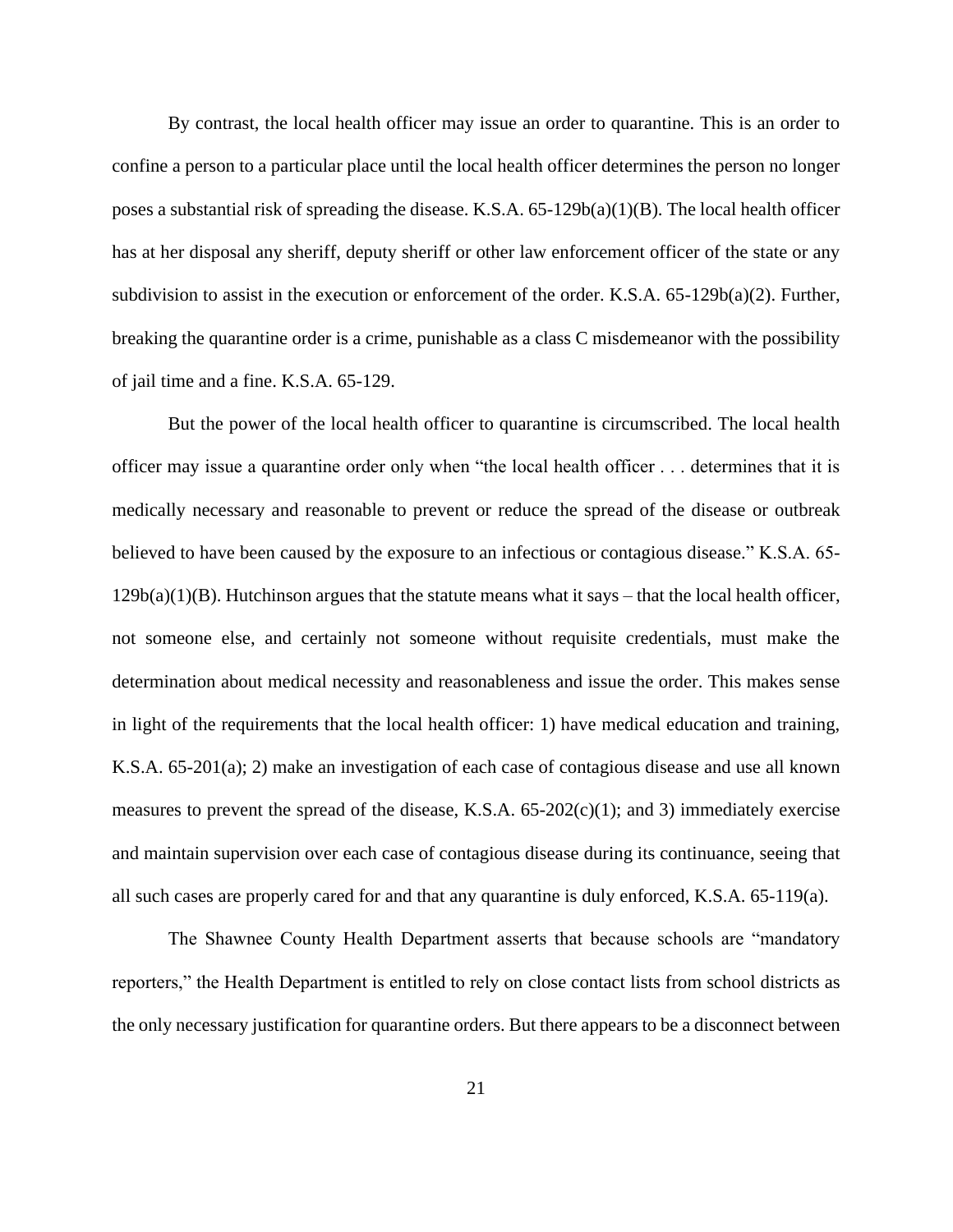By contrast, the local health officer may issue an order to quarantine. This is an order to confine a person to a particular place until the local health officer determines the person no longer poses a substantial risk of spreading the disease. K.S.A.  $65-129b(a)(1)(B)$ . The local health officer has at her disposal any sheriff, deputy sheriff or other law enforcement officer of the state or any subdivision to assist in the execution or enforcement of the order. K.S.A.  $65-129b(a)(2)$ . Further, breaking the quarantine order is a crime, punishable as a class C misdemeanor with the possibility of jail time and a fine. K.S.A. 65-129.

But the power of the local health officer to quarantine is circumscribed. The local health officer may issue a quarantine order only when "the local health officer . . . determines that it is medically necessary and reasonable to prevent or reduce the spread of the disease or outbreak believed to have been caused by the exposure to an infectious or contagious disease." K.S.A. 65-  $129b(a)(1)(B)$ . Hutchinson argues that the statute means what it says – that the local health officer, not someone else, and certainly not someone without requisite credentials, must make the determination about medical necessity and reasonableness and issue the order. This makes sense in light of the requirements that the local health officer: 1) have medical education and training, K.S.A. 65-201(a); 2) make an investigation of each case of contagious disease and use all known measures to prevent the spread of the disease, K.S.A. 65-202(c)(1); and 3) immediately exercise and maintain supervision over each case of contagious disease during its continuance, seeing that all such cases are properly cared for and that any quarantine is duly enforced, K.S.A. 65-119(a).

The Shawnee County Health Department asserts that because schools are "mandatory reporters," the Health Department is entitled to rely on close contact lists from school districts as the only necessary justification for quarantine orders. But there appears to be a disconnect between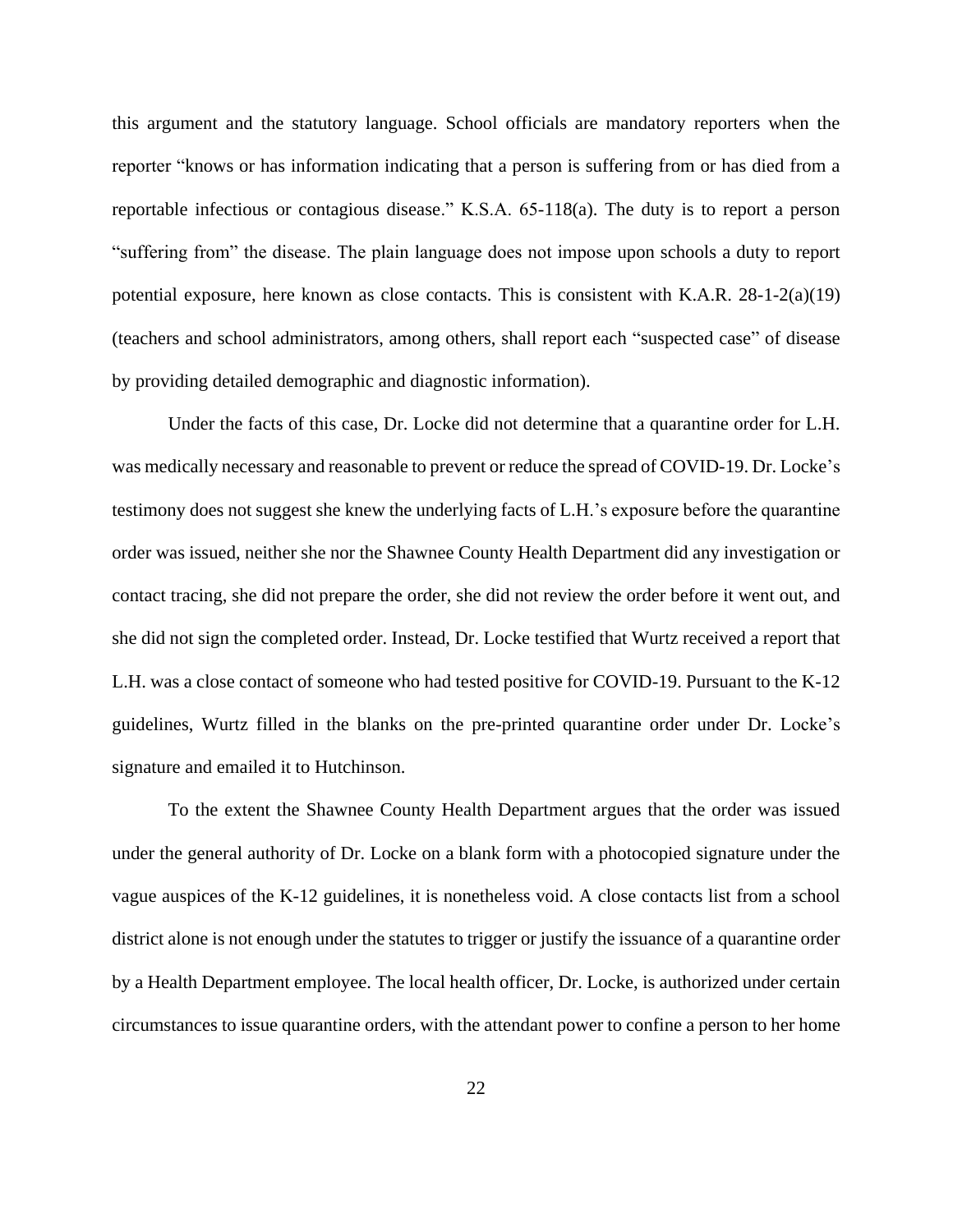this argument and the statutory language. School officials are mandatory reporters when the reporter "knows or has information indicating that a person is suffering from or has died from a reportable infectious or contagious disease." K.S.A. 65-118(a). The duty is to report a person "suffering from" the disease. The plain language does not impose upon schools a duty to report potential exposure, here known as close contacts. This is consistent with K.A.R.  $28-1-2(a)(19)$ (teachers and school administrators, among others, shall report each "suspected case" of disease by providing detailed demographic and diagnostic information).

Under the facts of this case, Dr. Locke did not determine that a quarantine order for L.H. was medically necessary and reasonable to prevent or reduce the spread of COVID-19. Dr. Locke's testimony does not suggest she knew the underlying facts of L.H.'s exposure before the quarantine order was issued, neither she nor the Shawnee County Health Department did any investigation or contact tracing, she did not prepare the order, she did not review the order before it went out, and she did not sign the completed order. Instead, Dr. Locke testified that Wurtz received a report that L.H. was a close contact of someone who had tested positive for COVID-19. Pursuant to the K-12 guidelines, Wurtz filled in the blanks on the pre-printed quarantine order under Dr. Locke's signature and emailed it to Hutchinson.

To the extent the Shawnee County Health Department argues that the order was issued under the general authority of Dr. Locke on a blank form with a photocopied signature under the vague auspices of the K-12 guidelines, it is nonetheless void. A close contacts list from a school district alone is not enough under the statutes to trigger or justify the issuance of a quarantine order by a Health Department employee. The local health officer, Dr. Locke, is authorized under certain circumstances to issue quarantine orders, with the attendant power to confine a person to her home